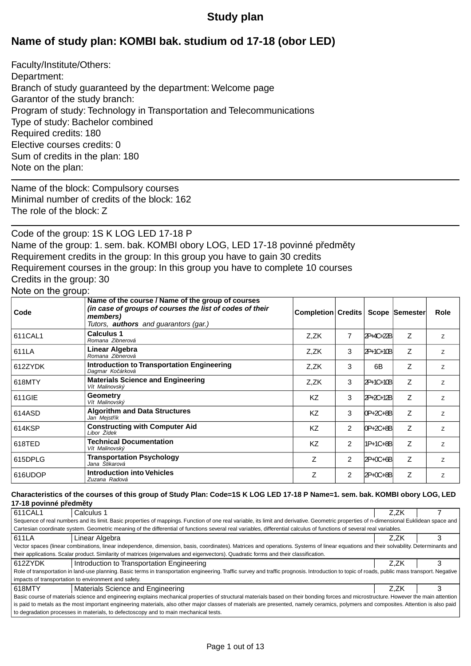# **Study plan**

# **Name of study plan: KOMBI bak. studium od 17-18 (obor LED)**

Faculty/Institute/Others: Department: Branch of study guaranteed by the department: Welcome page Garantor of the study branch: Program of study: Technology in Transportation and Telecommunications Type of study: Bachelor combined Required credits: 180 Elective courses credits: 0 Sum of credits in the plan: 180 Note on the plan:

Name of the block: Compulsory courses Minimal number of credits of the block: 162 The role of the block: Z

Code of the group: 1S K LOG LED 17-18 P Name of the group: 1. sem. bak. KOMBI obory LOG, LED 17-18 povinné p edm ty Requirement credits in the group: In this group you have to gain 30 credits Requirement courses in the group: In this group you have to complete 10 courses Credits in the group: 30

## Note on the group:

| Code    | Name of the course / Name of the group of courses<br>(in case of groups of courses the list of codes of their<br>members) | <b>Completion Credits</b> |                |            | <b>Scope Semester</b> | <b>Role</b> |
|---------|---------------------------------------------------------------------------------------------------------------------------|---------------------------|----------------|------------|-----------------------|-------------|
| 611CAL1 | Tutors, <b>authors</b> and quarantors (gar.)<br><b>Calculus 1</b><br>Romana Zibnerová                                     | Z.ZK                      | 7              | 2P+4C+22B  | Ζ                     | Z           |
| 611LA   | Linear Algebra<br>Romana Zibnerová                                                                                        | Z,ZK                      | 3              | 2P+1C+10B  | Ζ                     | Z           |
| 612ZYDK | <b>Introduction to Transportation Engineering</b><br>Dagmar Ko árková                                                     | Z.ZK                      | 3              | 6B         | Ζ                     | Z.          |
| 618MTY  | <b>Materials Science and Engineering</b><br>Vít Malinovský                                                                | Z.ZK                      | 3              | 2P+1C+10B  | Ζ                     | Z           |
| 611GIE  | Geometry<br>Vít Malinovský                                                                                                | <b>KZ</b>                 | 3              | 2P+2C+12B  | Z                     | Z           |
| 614ASD  | <b>Algorithm and Data Structures</b><br>Jan Mejst ík                                                                      | <b>KZ</b>                 | 3              | OP+2C+8B   | Z                     | Z           |
| 614KSP  | <b>Constructing with Computer Aid</b><br>Libor Žídek                                                                      | <b>KZ</b>                 | 2              | 0P+2C+8B   | Z                     | Z           |
| 618TED  | <b>Technical Documentation</b><br>Vít Malinovský                                                                          | <b>KZ</b>                 | 2              | 1P+1C+8B   | Z                     | Z           |
| 615DPLG | Transportation Psychology<br>Jana Štikarová                                                                               | Z                         | $\overline{2}$ | $2P+0C+6B$ | Ζ                     | Z           |
| 616UDOP | <b>Introduction into Vehicles</b><br>Zuzana Radová                                                                        | Z                         | 2              | 2P+0C+8B   | Z                     | Z           |

#### **Characteristics of the courses of this group of Study Plan: Code=1S K LOG LED 17-18 P Name=1. sem. bak. KOMBI obory LOG, LED 17-18 povinné p edm ty**

| 611CAL1                                                                                                                                                                               | Calculus 1                                                                                                                                                                                    | Z.ZK |  |  |  |  |  |
|---------------------------------------------------------------------------------------------------------------------------------------------------------------------------------------|-----------------------------------------------------------------------------------------------------------------------------------------------------------------------------------------------|------|--|--|--|--|--|
|                                                                                                                                                                                       | Sequence of real numbers and its limit. Basic properties of mappings. Function of one real variable, its limit and derivative. Geometric properties of n-dimensional Euklidean space and      |      |  |  |  |  |  |
|                                                                                                                                                                                       | Cartesian coordinate system. Geometric meaning of the differential of functions several real variables, differential calculus of functions of several real variables.                         |      |  |  |  |  |  |
| 611LA                                                                                                                                                                                 | Linear Algebra                                                                                                                                                                                | Z.ZK |  |  |  |  |  |
|                                                                                                                                                                                       | Vector spaces (linear combinations, linear independence, dimension, basis, coordinates). Matrices and operations. Systems of linear equations and their solvability. Determinants and         |      |  |  |  |  |  |
|                                                                                                                                                                                       | their applications. Scalar product. Similarity of matrices (eigenvalues and eigenvectors). Quadratic forms and their classification.                                                          |      |  |  |  |  |  |
| 612ZYDK                                                                                                                                                                               | Introduction to Transportation Engineering                                                                                                                                                    | Z.ZK |  |  |  |  |  |
|                                                                                                                                                                                       | Role of transportation in land-use planning. Basic terms in transportation engineering. Traffic survey and traffic prognosis. Introduction to topic of roads, public mass transport. Negative |      |  |  |  |  |  |
|                                                                                                                                                                                       | impacts of transportation to environment and safety.                                                                                                                                          |      |  |  |  |  |  |
| 618MTY                                                                                                                                                                                | Materials Science and Engineering                                                                                                                                                             | Z.ZK |  |  |  |  |  |
| Basic course of materials science and engineering explains mechanical properties of structural materials based on their bonding forces and microstructure. However the main attention |                                                                                                                                                                                               |      |  |  |  |  |  |
| is paid to metals as the most important engineering materials, also other major classes of materials are presented, namely ceramics, polymers and composites. Attention is also paid  |                                                                                                                                                                                               |      |  |  |  |  |  |
| to degradation processes in materials, to defectoscopy and to main mechanical tests.                                                                                                  |                                                                                                                                                                                               |      |  |  |  |  |  |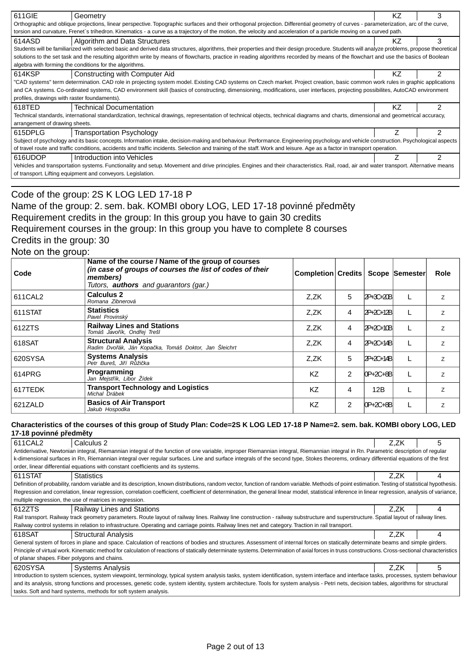| 611GIE                                                                                                                                                                                | Geometry                                                                                                                                                                                    | ΚZ | 3              |  |  |  |  |  |
|---------------------------------------------------------------------------------------------------------------------------------------------------------------------------------------|---------------------------------------------------------------------------------------------------------------------------------------------------------------------------------------------|----|----------------|--|--|--|--|--|
| Orthographic and oblique projections, linear perspective. Topographic surfaces and their orthogonal projection. Differential geometry of curves - parameterization, arc of the curve, |                                                                                                                                                                                             |    |                |  |  |  |  |  |
|                                                                                                                                                                                       | torsion and curvature, Frenet's trihedron. Kinematics - a curve as a trajectory of the motion, the velocity and acceleration of a particle moving on a curved path.                         |    |                |  |  |  |  |  |
| 614ASD                                                                                                                                                                                | 3<br>Algorithm and Data Structures<br>ΚZ                                                                                                                                                    |    |                |  |  |  |  |  |
|                                                                                                                                                                                       | Students will be familiarized with selected basic and derived data structures, algorithms, their properties and their design procedure. Students will analyze problems, propose theoretical |    |                |  |  |  |  |  |
|                                                                                                                                                                                       | solutions to the set task and the resulting algorithm write by means of flowcharts, practice in reading algorithms recorded by means of the flowchart and use the basics of Boolean         |    |                |  |  |  |  |  |
|                                                                                                                                                                                       | algebra with forming the conditions for the algorithms.                                                                                                                                     |    |                |  |  |  |  |  |
| 614KSP                                                                                                                                                                                | Constructing with Computer Aid                                                                                                                                                              | ΚZ | $\mathfrak{p}$ |  |  |  |  |  |
|                                                                                                                                                                                       | "CAD systems" term determination. CAD role in projecting system model. Existing CAD systems on Czech market. Project creation, basic common work rules in graphic applications              |    |                |  |  |  |  |  |
|                                                                                                                                                                                       | and CA systems. Co-ordinated systems, CAD environment skill (basics of constructing, dimensioning, modifications, user interfaces, projecting possibilites, AutoCAD environment             |    |                |  |  |  |  |  |
| profiles, drawings with raster foundaments).                                                                                                                                          |                                                                                                                                                                                             |    |                |  |  |  |  |  |
| 618TED                                                                                                                                                                                | <b>Technical Documentation</b>                                                                                                                                                              | ΚZ | 2              |  |  |  |  |  |
|                                                                                                                                                                                       | Technical standards, international standardization, technical drawings, representation of technical objects, technical diagrams and charts, dimensional and geometrical accuracy,           |    |                |  |  |  |  |  |
| arrangement of drawing sheets.                                                                                                                                                        |                                                                                                                                                                                             |    |                |  |  |  |  |  |
| 615DPLG                                                                                                                                                                               | <b>Transportation Psychology</b>                                                                                                                                                            |    | 2              |  |  |  |  |  |
|                                                                                                                                                                                       | Subject of psychology and its basic concepts. Information intake, decision-making and behaviour. Performance. Engineering psychology and vehicle construction. Psychological aspects        |    |                |  |  |  |  |  |
| of travel route and traffic conditions, accidents and traffic incidents. Selection and training of the staff. Work and leisure. Age as a factor in transport operation.               |                                                                                                                                                                                             |    |                |  |  |  |  |  |
| 616UDOP                                                                                                                                                                               | Introduction into Vehicles                                                                                                                                                                  |    | 2              |  |  |  |  |  |
|                                                                                                                                                                                       | Vehicles and transportation systems. Functionality and setup. Movement and drive principles. Engines and their characteristics. Rail, road, air and water transport. Alternative means      |    |                |  |  |  |  |  |
|                                                                                                                                                                                       | of transport. Lifting equipment and conveyors. Legislation.                                                                                                                                 |    |                |  |  |  |  |  |
|                                                                                                                                                                                       |                                                                                                                                                                                             |    |                |  |  |  |  |  |

# Code of the group: 2S K LOG LED 17-18 P Name of the group: 2. sem. bak. KOMBI obory LOG, LED 17-18 povinné p edm ty Requirement credits in the group: In this group you have to gain 30 credits Requirement courses in the group: In this group you have to complete 8 courses Credits in the group: 30 Note on the group:

| ັ<br>Code | Name of the course / Name of the group of courses<br>(in case of groups of courses the list of codes of their<br>members)<br>Tutors, <b>authors</b> and guarantors (gar.) | Completion Credits |                |            | Scope Semester | Role           |
|-----------|---------------------------------------------------------------------------------------------------------------------------------------------------------------------------|--------------------|----------------|------------|----------------|----------------|
| 611CAL2   | <b>Calculus 2</b><br>Romana Zibnerová                                                                                                                                     | Z.ZK               | 5              | 12P+3C+20B |                | Z              |
| 611STAT   | <b>Statistics</b><br>Pavel Provinský                                                                                                                                      | Z.ZK               | 4              | 2P+2C+12B  |                | Z              |
| 612ZTS    | <b>Railway Lines and Stations</b><br>Tomáš Javo ík, Ond ej Trešl                                                                                                          | Z,ZK               | 4              | 2P+2C+10B  |                | $\overline{z}$ |
| 618SAT    | <b>Structural Analysis</b><br>Radim Dvo ák, Ján Kopa ka, Tomáš Doktor, Jan Šleichrt                                                                                       | Z,ZK               | 4              | 2P+2C+14B  |                | Z              |
| 620SYSA   | <b>Systems Analysis</b><br>Petr Bureš, Ji í R ži ka                                                                                                                       | Z.ZK               | 5              | 2P+2C+14B  |                | $\overline{z}$ |
| 614PRG    | <b>Programming</b><br>Jan Mejst ík, Libor Žídek                                                                                                                           | K7                 | $\overline{2}$ | $OP+2C+8B$ |                | $\overline{z}$ |
| 617TEDK   | <b>Transport Technology and Logistics</b><br>Michal Drábek                                                                                                                | KZ                 | 4              | 12B        |                | Z              |
| 621ZALD   | <b>Basics of Air Transport</b><br>Jakub Hospodka                                                                                                                          | KZ                 | $\mathcal{P}$  | $OP+2C+8B$ |                | $\overline{z}$ |

#### **Characteristics of the courses of this group of Study Plan: Code=2S K LOG LED 17-18 P Name=2. sem. bak. KOMBI obory LOG, LED 17-18 povinné p edm ty**

| 611 CAL 2<br>Calculus 2                                                                                                                                                                           | Z,ZK | 5 |  |  |  |  |  |
|---------------------------------------------------------------------------------------------------------------------------------------------------------------------------------------------------|------|---|--|--|--|--|--|
| Antiderivative, Newtonian integral, Riemannian integral of the function of one variable, improper Riemannian integral, Riemannian integral in Rn. Parametric description of regular               |      |   |  |  |  |  |  |
| k-dimensional surfaces in Rn, Riemannian integral over regular surfaces. Line and surface integrals of the second type, Stokes theorems, ordinary differential equations of the first             |      |   |  |  |  |  |  |
| order, linear differential equations with constant coefficients and its systems.                                                                                                                  |      |   |  |  |  |  |  |
| 611STAT<br><b>Statistics</b>                                                                                                                                                                      | Z.ZK | 4 |  |  |  |  |  |
| Definition of probability, random variable and its description, known distributions, random vector, function of random variable. Methods of point estimation. Testing of statistical hypothesis.  |      |   |  |  |  |  |  |
| Regression and correlation, linear regression, correlation coefficient, coefficient of determination, the general linear model, statistical inference in linear regression, analysis of variance, |      |   |  |  |  |  |  |
| multiple regression, the use of matrices in regression.                                                                                                                                           |      |   |  |  |  |  |  |
| 612ZTS <br><b>Railway Lines and Stations</b>                                                                                                                                                      | Z.ZK |   |  |  |  |  |  |
| Rail transport. Railway track geometry parameters. Route layout of railway lines. Railway line construction - railway substructure and superstructure. Spatial layout of railway lines.           |      |   |  |  |  |  |  |
| Railway control systems in relation to infrastructure. Operating and carriage points. Railway lines net and category. Traction in rail transport.                                                 |      |   |  |  |  |  |  |
| 618SAT<br><b>Structural Analysis</b>                                                                                                                                                              | Z.ZK |   |  |  |  |  |  |
| General system of forces in plane and space. Calculation of reactions of bodies and structures. Assessment of internal forces on statically determinate beams and simple girders.                 |      |   |  |  |  |  |  |
| Principle of virtual work. Kinematic method for calculation of reactions of statically determinate systems. Determination of axial forces in truss constructions. Cross-sectional characteristics |      |   |  |  |  |  |  |
| of planar shapes. Fiber polygons and chains.                                                                                                                                                      |      |   |  |  |  |  |  |
| 620SYSA<br><b>Systems Analysis</b>                                                                                                                                                                | Z.ZK | 5 |  |  |  |  |  |
| Introduction to system sciences, system viewpoint, terminology, typical system analysis tasks, system identification, system interface and interface tasks, processes, system behaviour           |      |   |  |  |  |  |  |
| and its analysis, strong functions and processes, genetic code, system identity, system architecture. Tools for system analysis - Petri nets, decision tables, algorithms for structural          |      |   |  |  |  |  |  |
| tasks. Soft and hard systems, methods for soft system analysis.                                                                                                                                   |      |   |  |  |  |  |  |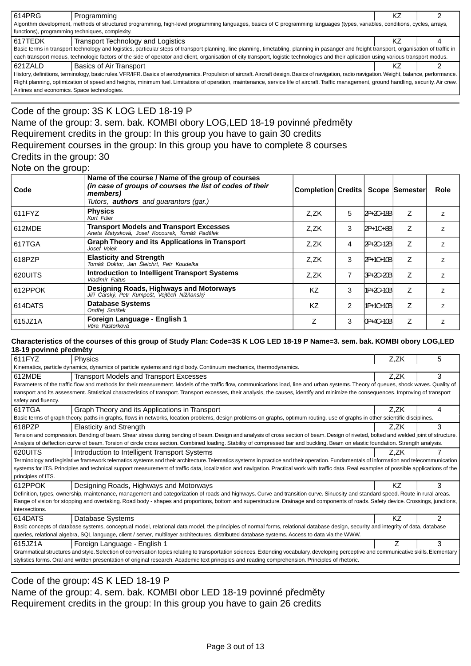| 614PRG                                                                                                                                                                                          | Programming                                                                                                                                                                                   | ΚZ |  |  |  |  |  |
|-------------------------------------------------------------------------------------------------------------------------------------------------------------------------------------------------|-----------------------------------------------------------------------------------------------------------------------------------------------------------------------------------------------|----|--|--|--|--|--|
|                                                                                                                                                                                                 | Algorithm development, methods of structured programming, high-level programming languages, basics of C programming languages (types, variables, conditions, cycles, arrays,                  |    |  |  |  |  |  |
| functions), programming techniques, complexity.                                                                                                                                                 |                                                                                                                                                                                               |    |  |  |  |  |  |
| 617TEDK                                                                                                                                                                                         | Transport Technology and Logistics                                                                                                                                                            | ΚZ |  |  |  |  |  |
|                                                                                                                                                                                                 | Basic terms in transport technology and logistics, particular steps of transport planning, line planning, timetabling, planning in pasanger and freight transport, organisation of traffic in |    |  |  |  |  |  |
|                                                                                                                                                                                                 | each transport modus, technologic factors of the side of operator and client, organisation of city transport, logistic technologies and their aplication using various transport modus.       |    |  |  |  |  |  |
| 621ZALD                                                                                                                                                                                         | Basics of Air Transport                                                                                                                                                                       | K7 |  |  |  |  |  |
| History, definitions, terminology, basic rules. VFR/IFR. Basics of aerodynamics. Propulsion of aircraft. Aircraft design. Basics of navigation, radio navigation. Weight, balance, performance. |                                                                                                                                                                                               |    |  |  |  |  |  |
| Flight planning, optimization of speed and heights, minimum fuel. Limitations of operation, maintenance, service life of aircraft. Traffic management, ground handling, security. Air crew.     |                                                                                                                                                                                               |    |  |  |  |  |  |

Airlines and economics. Space technologies.

### Code of the group: 3S K LOG LED 18-19 P Name of the group: 3. sem. bak. KOMBI obory LOG,LED 18-19 povinné p edm ty Requirement credits in the group: In this group you have to gain 30 credits Requirement courses in the group: In this group you have to complete 8 courses Credits in the group: 30 Note on the group:

| Code    | Name of the course / Name of the group of courses<br>(in case of groups of courses the list of codes of their<br>members)<br>Tutors, <b>authors</b> and guarantors (gar.) | Completion Credits   Scope  Semester |                |                  |   | Role           |
|---------|---------------------------------------------------------------------------------------------------------------------------------------------------------------------------|--------------------------------------|----------------|------------------|---|----------------|
| 611FYZ  | <b>Physics</b><br>Kurt Fišer                                                                                                                                              | Z,ZK                                 | 5              | 2P+2C+18B        | Z | Z              |
| 612MDE  | <b>Transport Models and Transport Excesses</b><br>Aneta Matysková, Josef Kocourek, Tomáš Pad lek                                                                          | Z.ZK                                 | 3              | 2P+1C+8B         | Z | 7              |
| 617TGA  | <b>Graph Theory and its Applications in Transport</b><br>Josef Volek                                                                                                      | Z.ZK                                 | 4              | 2P+2C+12B        | Ζ | $\overline{z}$ |
| 618PZP  | <b>Elasticity and Strength</b><br>Tomáš Doktor, Jan Šleichrt, Petr Koudelka                                                                                               | Z.ZK                                 | 3              | <b>2P+1C+10B</b> | Z | Z              |
| 620UITS | Introduction to Intelligent Transport Systems<br>Vladimír Faltus                                                                                                          | Z.ZK                                 | 7              | 3P+2C+20B        | Ζ | $\overline{z}$ |
| 612PPOK | Designing Roads, Highways and Motorways<br>arský, Petr Kumpošt, Vojt ch Niž anský<br>Ji í                                                                                 | KZ                                   | 3              | 1P+2C+10B        | Ζ | $\overline{z}$ |
| 614DATS | <b>Database Systems</b><br>Ond ej Smíšek                                                                                                                                  | <b>KZ</b>                            | $\overline{2}$ | 11P+1C+10B       | Z | $\overline{z}$ |
| 615JZ1A | Foreign Language - English 1<br>V ra Pastorková                                                                                                                           | Ζ                                    | 3              | 0P+4C+10B        | Z | Ζ              |

#### **Characteristics of the courses of this group of Study Plan: Code=3S K LOG LED 18-19 P Name=3. sem. bak. KOMBI obory LOG,LED 18-19 povinné p edm ty**

| 611FYZ                                                                                                                                                                                   | Physics                                                                                                                                                                                     | Z.ZK | 5 |  |  |  |  |
|------------------------------------------------------------------------------------------------------------------------------------------------------------------------------------------|---------------------------------------------------------------------------------------------------------------------------------------------------------------------------------------------|------|---|--|--|--|--|
| Kinematics, particle dynamics, dynamics of particle systems and rigid body. Continuum mechanics, thermodynamics.                                                                         |                                                                                                                                                                                             |      |   |  |  |  |  |
| 612MDE                                                                                                                                                                                   | <b>Transport Models and Transport Excesses</b>                                                                                                                                              | Z.ZK | 3 |  |  |  |  |
|                                                                                                                                                                                          | Parameters of the traffic flow and methods for their measurement. Models of the traffic flow, communications load, line and urban systems. Theory of queues, shock waves. Quality of        |      |   |  |  |  |  |
|                                                                                                                                                                                          | transport and its assessment. Statistical characteristics of transport. Transport excesses, their analysis, the causes, identify and minimize the consequences. Improving of transport      |      |   |  |  |  |  |
| safety and fluency.                                                                                                                                                                      |                                                                                                                                                                                             |      |   |  |  |  |  |
| 617TGA                                                                                                                                                                                   | Graph Theory and its Applications in Transport                                                                                                                                              | Z.ZK | 4 |  |  |  |  |
|                                                                                                                                                                                          | Basic terms of graph theory, paths in graphs, flows in networks, location problems, design problems on graphs, optimum routing, use of graphs in other scientific disciplines.              |      |   |  |  |  |  |
| 618PZP                                                                                                                                                                                   | <b>Elasticity and Strength</b>                                                                                                                                                              | Z.ZK | 3 |  |  |  |  |
|                                                                                                                                                                                          | Tension and compression. Bending of beam. Shear stress during bending of beam. Design and analysis of cross section of beam. Design of riveted, bolted and welded joint of structure.       |      |   |  |  |  |  |
|                                                                                                                                                                                          | Analysis of deflection curve of beam. Torsion of circle cross section. Combined loading. Stability of compressed bar and buckling. Beam on elastic foundation. Strength analysis.           |      |   |  |  |  |  |
| 620UITS                                                                                                                                                                                  | Introduction to Intelligent Transport Systems                                                                                                                                               | Z.ZK |   |  |  |  |  |
|                                                                                                                                                                                          | Terminology and legislative framework telematics systems and their architecture. Telematics systems in practice and their operation. Fundamentals of information and telecommunication      |      |   |  |  |  |  |
|                                                                                                                                                                                          | systems for ITS. Principles and technical support measurement of traffic data, localization and navigation. Practical work with traffic data. Real examples of possible applications of the |      |   |  |  |  |  |
| principles of ITS.                                                                                                                                                                       |                                                                                                                                                                                             |      |   |  |  |  |  |
| 612PPOK                                                                                                                                                                                  | Designing Roads, Highways and Motorways                                                                                                                                                     | ΚZ   | 3 |  |  |  |  |
|                                                                                                                                                                                          | Definition, types, ownership, maintenance, management and categorization of roads and highways. Curve and transition curve. Sinuosity and standard speed. Route in rural areas.             |      |   |  |  |  |  |
|                                                                                                                                                                                          | Range of vision for stopping and overtaking. Road body - shapes and proportions, bottom and superstructure. Drainage and components of roads. Safety device. Crossings, junctions,          |      |   |  |  |  |  |
| intersections.                                                                                                                                                                           |                                                                                                                                                                                             |      |   |  |  |  |  |
| 614DATS                                                                                                                                                                                  | Database Systems                                                                                                                                                                            | K7   | 2 |  |  |  |  |
|                                                                                                                                                                                          | Basic concepts of database systems, conceptual model, relational data model, the principles of normal forms, relational database design, security and integrity of data, database           |      |   |  |  |  |  |
| queries, relational algebra, SQL language, client / server, multilayer architectures, distributed database systems. Access to data via the WWW.                                          |                                                                                                                                                                                             |      |   |  |  |  |  |
| 615JZ1A                                                                                                                                                                                  | Foreign Language - English 1                                                                                                                                                                |      | 3 |  |  |  |  |
| Grammatical structures and style. Selection of conversation topics relating to transportation sciences. Extending vocabulary, developing perceptive and communicative skills. Elementary |                                                                                                                                                                                             |      |   |  |  |  |  |
|                                                                                                                                                                                          | stylistics forms. Oral and written presentation of original research. Academic text principles and reading comprehension. Principles of rhetoric.                                           |      |   |  |  |  |  |
|                                                                                                                                                                                          |                                                                                                                                                                                             |      |   |  |  |  |  |

Code of the group: 4S K LED 18-19 P

Name of the group: 4. sem. bak. KOMBI obor LED 18-19 povinné p edm ty Requirement credits in the group: In this group you have to gain 26 credits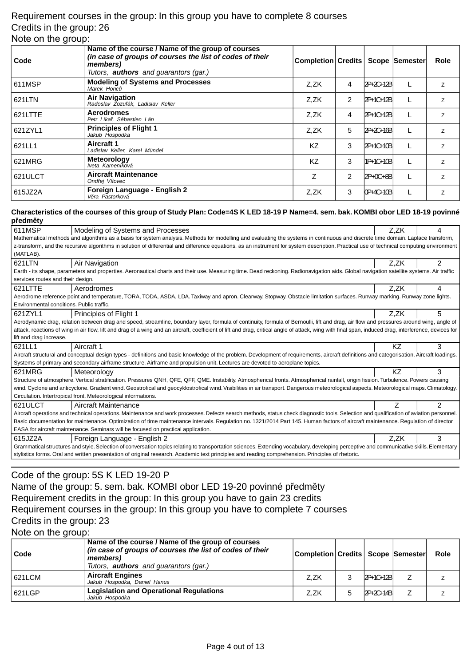### Requirement courses in the group: In this group you have to complete 8 courses Credits in the group: 26 Note on the group:

| ັ       |                                                                                                                                                                           |                                     |                |             |                |
|---------|---------------------------------------------------------------------------------------------------------------------------------------------------------------------------|-------------------------------------|----------------|-------------|----------------|
| Code    | Name of the course / Name of the group of courses<br>(in case of groups of courses the list of codes of their<br>members)<br>Tutors, <b>authors</b> and guarantors (gar.) | Completion Credits   Scope Semester |                |             | <b>Role</b>    |
| 611MSP  | <b>Modeling of Systems and Processes</b><br>Marek Honc                                                                                                                    | Z.ZK                                | 4              | 2P+2C+12B   | Z              |
| 621LTN  | <b>Air Navigation</b><br>Radoslav Zozu ák, Ladislav Keller                                                                                                                | Z.ZK                                | 2              | 2P+1C+12B   | Z              |
| 621LTTE | <b>Aerodromes</b><br>Petr Líka, Sébastien Lán                                                                                                                             | Z,ZK                                | 4              | 2P+1C+12B   | $\overline{z}$ |
| 621ZYL1 | <b>Principles of Flight 1</b><br>Jakub Hospodka                                                                                                                           | Z.ZK                                | 5              | $2P+2C+16B$ | Z              |
| 621LL1  | Aircraft 1<br>Ladislav Keller, Karel Mündel                                                                                                                               | KZ                                  | 3              | 2P+1C+10B   | Z              |
| 621MRG  | <b>Meteorology</b><br>Iveta Kameníková                                                                                                                                    | KZ                                  | 3              | 1P+1C+10Bl  | Z              |
| 621ULCT | <b>Aircraft Maintenance</b><br>Ond ej Vítovec                                                                                                                             | Z                                   | $\overline{2}$ | 2P+0C+8B    | Z              |
| 615JZ2A | Foreign Language - English 2<br>V ra Pastorková                                                                                                                           | Z.ZK                                | 3              | IOP+4C+10BI | Ζ              |

#### **Characteristics of the courses of this group of Study Plan: Code=4S K LED 18-19 P Name=4. sem. bak. KOMBI obor LED 18-19 povinné p edm ty**

| ----- -                                                                                                                                                                                   |                                                                                                                                                                                                       |      |                |  |  |  |  |
|-------------------------------------------------------------------------------------------------------------------------------------------------------------------------------------------|-------------------------------------------------------------------------------------------------------------------------------------------------------------------------------------------------------|------|----------------|--|--|--|--|
| 611MSP                                                                                                                                                                                    | Modeling of Systems and Processes                                                                                                                                                                     | Z,ZK | 4              |  |  |  |  |
| Mathematical methods and algorithms as a basis for system analysis. Methods for modelling and evaluating the systems in continuous and discrete time domain. Laplace transform,           |                                                                                                                                                                                                       |      |                |  |  |  |  |
| z-transform, and the recursive algorithms in solution of differential and difference equations, as an instrument for system description. Practical use of technical computing environment |                                                                                                                                                                                                       |      |                |  |  |  |  |
| (MATLAB).                                                                                                                                                                                 |                                                                                                                                                                                                       |      |                |  |  |  |  |
| 621LTN                                                                                                                                                                                    | Air Navigation                                                                                                                                                                                        | Z,ZK | $\overline{2}$ |  |  |  |  |
| Earth - its shape, parameters and properties. Aeronautical charts and their use. Measuring time. Dead reckoning. Radionavigation aids. Global navigation satellite systems. Air traffic   |                                                                                                                                                                                                       |      |                |  |  |  |  |
| services routes and their design.                                                                                                                                                         |                                                                                                                                                                                                       |      |                |  |  |  |  |
| 621LTTE                                                                                                                                                                                   | Aerodromes                                                                                                                                                                                            | Z.ZK | 4              |  |  |  |  |
|                                                                                                                                                                                           | Aerodrome reference point and temperature, TORA, TODA, ASDA, LDA. Taxiway and apron. Clearway. Stopway. Obstacle limitation surfaces. Runway marking. Runway zone lights.                             |      |                |  |  |  |  |
| Environmental conditions. Public traffic.                                                                                                                                                 |                                                                                                                                                                                                       |      |                |  |  |  |  |
| 621ZYL1                                                                                                                                                                                   | Principles of Flight 1                                                                                                                                                                                | Z,ZK | 5              |  |  |  |  |
|                                                                                                                                                                                           | Aerodynamic drag, relation between drag and speed, streamline, boundary layer, formula of continuity, formula of Bernoulli, lift and drag, air flow and pressures around wing, angle of               |      |                |  |  |  |  |
|                                                                                                                                                                                           | attack, reactions of wing in air flow, lift and drag of a wing and an aircraft, coefficient of lift and drag, critical angle of attack, wing with final span, induced drag, interference, devices for |      |                |  |  |  |  |
| lift and drag increase.                                                                                                                                                                   |                                                                                                                                                                                                       |      |                |  |  |  |  |
|                                                                                                                                                                                           |                                                                                                                                                                                                       |      |                |  |  |  |  |
| 621LL1                                                                                                                                                                                    | Aircraft 1                                                                                                                                                                                            | KZ   | 3              |  |  |  |  |
|                                                                                                                                                                                           | Aircraft structural and conceptual design types - definitions and basic knowledge of the problem. Development of requirements, aircraft definitions and categorisation. Aircraft loadings.            |      |                |  |  |  |  |
|                                                                                                                                                                                           | Systems of primary and secondary airframe structure. Airframe and propulsion unit. Lectures are devoted to aeroplane topics.                                                                          |      |                |  |  |  |  |
| 621MRG                                                                                                                                                                                    | Meteorology                                                                                                                                                                                           | ΚZ   | 3              |  |  |  |  |
|                                                                                                                                                                                           | Structure of atmosphere. Vertical stratification. Pressures QNH, QFE, QFF, QME. Instability. Atmospherical fronts. Atmospherical rainfall, origin fission. Turbulence. Powers causing                 |      |                |  |  |  |  |
|                                                                                                                                                                                           | wind. Cyclone and anticyclone. Gradient wind. Geostrofical and geocyklostrofical wind. Visibilities in air transport. Dangerous meteorological aspects. Meteorological maps. Climatology.             |      |                |  |  |  |  |
|                                                                                                                                                                                           | Circulation. Intertropical front. Meteorological informations.                                                                                                                                        |      |                |  |  |  |  |
| 621ULCT                                                                                                                                                                                   | Aircraft Maintenance                                                                                                                                                                                  |      | $\mathfrak{p}$ |  |  |  |  |
|                                                                                                                                                                                           | Aircraft operations and technical operations. Maintenance and work processes. Defects search methods, status check diagnostic tools. Selection and qualification of aviation personnel.               |      |                |  |  |  |  |
|                                                                                                                                                                                           | Basic documentation for maintenance. Optimization of time maintenance intervals. Regulation no. 1321/2014 Part 145. Human factors of aircraft maintenance. Regulation of director                     |      |                |  |  |  |  |
|                                                                                                                                                                                           | EASA for aircraft maintenance. Seminars will be focused on practical application.                                                                                                                     |      |                |  |  |  |  |
| 615JZ2A                                                                                                                                                                                   | Foreign Language - English 2                                                                                                                                                                          | Z.ZK | 3              |  |  |  |  |
|                                                                                                                                                                                           | Grammatical structures and style. Selection of conversation topics relating to transportation sciences. Extending vocabulary, developing perceptive and communicative skills. Elementary              |      |                |  |  |  |  |
|                                                                                                                                                                                           | stylistics forms. Oral and written presentation of original research. Academic text principles and reading comprehension. Principles of rhetoric.                                                     |      |                |  |  |  |  |

# Code of the group: 5S K LED 19-20 P

Name of the group: 5. sem. bak. KOMBI obor LED 19-20 povinné p edm ty Requirement credits in the group: In this group you have to gain 23 credits Requirement courses in the group: In this group you have to complete 7 courses Credits in the group: 23

Note on the group:

| Code   | Name of the course / Name of the group of courses<br>(in case of groups of courses the list of codes of their<br>members)<br>Tutors, <b>authors</b> and guarantors (gar.) | Completion Credits   Scope  Semester |           | Role |
|--------|---------------------------------------------------------------------------------------------------------------------------------------------------------------------------|--------------------------------------|-----------|------|
| 621LCM | <b>Aircraft Engines</b><br>Jakub Hospodka, Daniel Hanus                                                                                                                   | Z.ZK                                 | 2P+1C+12B |      |
| 621LGP | <b>Legislation and Operational Regulations</b><br>Jakub Hospodka                                                                                                          | Z.ZK                                 | 2P+2C+14B |      |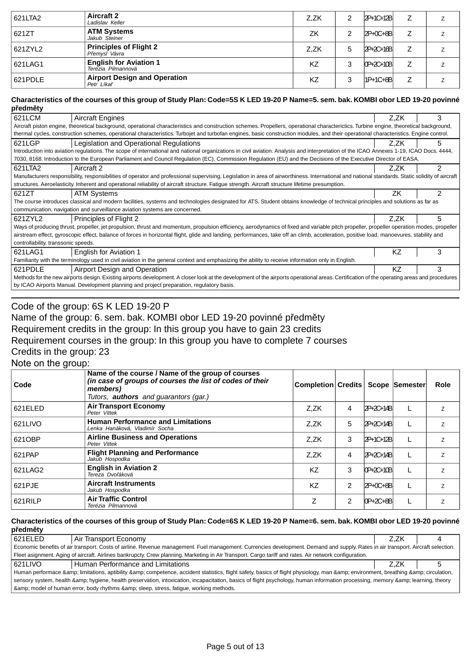| 621LTA2 | <b>Aircraft 2</b><br>Ladislav Keller                | Z.ZK | 2 | 2P+1C+12B       |   | Z              |
|---------|-----------------------------------------------------|------|---|-----------------|---|----------------|
| 621ZT   | <b>ATM Systems</b><br>Jakub Steiner                 | ZK   | っ | $2P+0C+8B$      | Ζ |                |
| 621ZYL2 | <b>Principles of Flight 2</b><br>P emysl Vávra      | Z.ZK | 5 | $2P + 2C + 16B$ |   | Ζ              |
| 621LAG1 | <b>English for Aviation 1</b><br>Terézia Pilmannová | KZ   | 3 | $OP+2C+10B$     |   | z              |
| 621PDLE | <b>Airport Design and Operation</b><br>Petr Líka    | KZ   | 3 | $1P+1C+8B$      | Z | $\overline{ }$ |

#### **Characteristics of the courses of this group of Study Plan: Code=5S K LED 19-20 P Name=5. sem. bak. KOMBI obor LED 19-20 povinné p edm ty**

| р счш ту                                                                                                                                                         |                                                                                                                                                                                                  |      |   |  |
|------------------------------------------------------------------------------------------------------------------------------------------------------------------|--------------------------------------------------------------------------------------------------------------------------------------------------------------------------------------------------|------|---|--|
| 621LCM                                                                                                                                                           | <b>Aircraft Engines</b>                                                                                                                                                                          | Z.ZK | 3 |  |
|                                                                                                                                                                  | Aircraft piston engine, theoretical background, operational characteristics and construction schemes. Propellers, operational characterictics. Turbine engine, theoretical background,           |      |   |  |
|                                                                                                                                                                  | thermal cycles, construction schemes, operational characteristics. Turbojet and turbofan engines, basic construction modules, and their operational characteristics. Engine control.             |      |   |  |
| 621LGP                                                                                                                                                           | Legislation and Operational Regulations                                                                                                                                                          | Z.ZK | 5 |  |
|                                                                                                                                                                  | Introduction into aviation regulations. The scope of international and national organizations in civil aviation. Analysis and interpretation of the ICAO Annexes 1-19, ICAO Docs. 4444,          |      |   |  |
| 7030, 8168. Introduction to the European Parliament and Council Regulation (EC), Commission Regulation (EU) and the Decisions of the Executive Director of EASA. |                                                                                                                                                                                                  |      |   |  |
| 2<br>621LTA2<br>Aircraft 2<br>Z.ZK                                                                                                                               |                                                                                                                                                                                                  |      |   |  |
|                                                                                                                                                                  | Manufacturers responsibility, responsibilities of operator and professional supervising. Legislation in area of airworthiness. International and national standards. Static solidity of aircraft |      |   |  |
|                                                                                                                                                                  | structures. Aeroelasticity. Inherent and operational reliability of aircraft structure. Fatigue strength. Aircraft structure lifetime presumption.                                               |      |   |  |
| 621ZT                                                                                                                                                            | <b>ATM Systems</b>                                                                                                                                                                               | ZK   | 2 |  |
|                                                                                                                                                                  | The course introduces classical and modern facilities, systems and technologies designated for ATS. Student obtains knowledge of technical principles and solutions as far as                    |      |   |  |
|                                                                                                                                                                  | communication, navigation and surveillance aviation systems are concerned.                                                                                                                       |      |   |  |
| 621ZYL2                                                                                                                                                          | Principles of Flight 2                                                                                                                                                                           | Z.ZK | 5 |  |
|                                                                                                                                                                  | Ways of producing thrust, propeller, jet propulsion, thrust and momentum, propulsion efficiency, aerodynamics of fixed and variable pitch propeller, propeller operation modes, propeller        |      |   |  |
|                                                                                                                                                                  | airstream effect, gyroscopic effect, balance of forces in horizontal flight, glide and landing, performances, take off an climb, acceleration, positive load, manoevures, stability and          |      |   |  |
| controllability, transsonic speeds.                                                                                                                              |                                                                                                                                                                                                  |      |   |  |
| 621LAG1                                                                                                                                                          | English for Aviation 1                                                                                                                                                                           | KZ   | 3 |  |
|                                                                                                                                                                  | Familiarity with the terminology used in civil aviation in the general context and emphasizing the ability to receive information only in English.                                               |      |   |  |
| 621PDLE                                                                                                                                                          | Airport Design and Operation                                                                                                                                                                     | KZ   | 3 |  |
|                                                                                                                                                                  | Methods for the new airports design. Existing airports development. A closer look at the development of the airports operational areas. Certification of the operating areas and procedures      |      |   |  |
|                                                                                                                                                                  | by ICAO Airports Manual. Development planning and project preparation, regulatory basis.                                                                                                         |      |   |  |
|                                                                                                                                                                  |                                                                                                                                                                                                  |      |   |  |

# Code of the group: 6S K LED 19-20 P Name of the group: 6. sem. bak. KOMBI obor LED 19-20 povinné p edm ty

Requirement credits in the group: In this group you have to gain 23 credits

Requirement courses in the group: In this group you have to complete 7 courses

Credits in the group: 23

Note on the group:

| Code     | Name of the course / Name of the group of courses<br>(in case of groups of courses the list of codes of their<br>members)<br>Tutors, <b>authors</b> and guarantors (gar.) | <b>Completion Credits</b> |                |               | Scope Semester | <b>Role</b> |
|----------|---------------------------------------------------------------------------------------------------------------------------------------------------------------------------|---------------------------|----------------|---------------|----------------|-------------|
| 621 ELED | <b>Air Transport Economy</b><br>Peter Vittek                                                                                                                              | Z.ZK                      | 4              | 2P+2C+14B     |                | Z.          |
| 621LIVO  | <b>Human Performance and Limitations</b><br>Lenka Hanáková, Vladimír Socha                                                                                                | Z.ZK                      | 5              | 2P+2C+14B     |                | Z           |
| 621OBP   | <b>Airline Business and Operations</b><br>Peter Vittek                                                                                                                    | Z.ZK                      | 3              | 2P+1C+12B     |                | Z.          |
| 621PAP   | <b>Flight Planning and Performance</b><br>Jakub Hospodka                                                                                                                  | Z.ZK                      | 4              | 2P+2C+14B     |                | Z           |
| 621LAG2  | <b>English in Aviation 2</b><br>Tereza Dvo áková                                                                                                                          | <b>KZ</b>                 | 3              | $[0P+2C+10B]$ |                | Z           |
| 621PJE   | <b>Aircraft Instruments</b><br>Jakub Hospodka                                                                                                                             | KZ                        | $\overline{2}$ | $2P+0C+8B$    |                | Z           |
| 621RILP  | <b>Air Traffic Control</b><br>Terézia Pilmannová                                                                                                                          | Z                         | 2              | $OP+2C+8B$    |                | Z           |

#### **Characteristics of the courses of this group of Study Plan: Code=6S K LED 19-20 P Name=6. sem. bak. KOMBI obor LED 19-20 povinné p edm ty**

| 621ELED                                                                                                                                                                           | Air Transport Economy | Z.ZK |  |  |  |
|-----------------------------------------------------------------------------------------------------------------------------------------------------------------------------------|-----------------------|------|--|--|--|
| Economic benefits of air transport. Costs of airline. Revenue management. Fuel management. Currencies development. Demand and supply. Rates in air transport. Aircraft selection. |                       |      |  |  |  |
| Fleet asignment. Aging of aircraft. Airlines bankrupcty. Crew planning. Marketing in Air Transport. Cargo tariff and rates. Air network configuration.                            |                       |      |  |  |  |
| 621LIVO<br>Human Performance and Limitations<br>Z.ZK                                                                                                                              |                       |      |  |  |  |
| Human performace & limitations, aptibility & competence, accident statistics, flight safety, basics of flight physiology, man & environment, breathing & circulation,             |                       |      |  |  |  |
| sensory system, health & hygiene, health preservation, intoxication, incapacitation, basics of flight psychology, human information processing, memory & learning, theory         |                       |      |  |  |  |
| & model of human error, body rhythms & sleep, stress, fatigue, working methods.                                                                                                   |                       |      |  |  |  |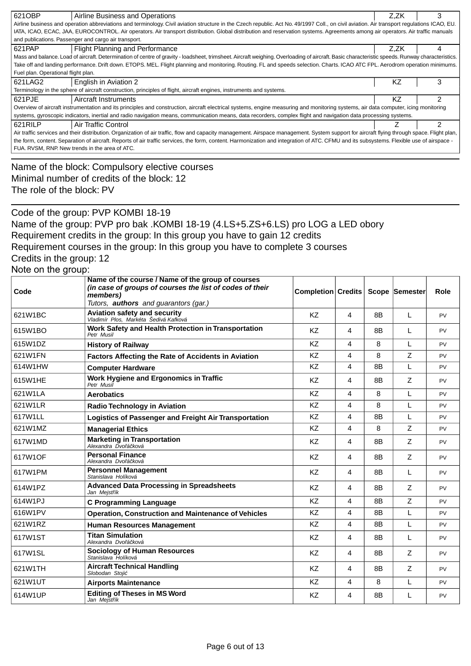| 621OBP                                                                                                                                                                                      | Airline Business and Operations                                                                                                                                                                 | Z.ZK | 3 |  |  |
|---------------------------------------------------------------------------------------------------------------------------------------------------------------------------------------------|-------------------------------------------------------------------------------------------------------------------------------------------------------------------------------------------------|------|---|--|--|
| Airline business and operation abbreviations and terminology. Civil aviation structure in the Czech republic. Act No. 49/1997 Coll., on civil aviation. Air transport regulations ICAO, EU. |                                                                                                                                                                                                 |      |   |  |  |
| IATA, ICAO, ECAC, JAA, EUROCONTROL. Air operators. Air transport distribution. Global distribution and reservation systems. Agreements among air operators. Air traffic manuals             |                                                                                                                                                                                                 |      |   |  |  |
| and publications. Passenger and cargo air transport.                                                                                                                                        |                                                                                                                                                                                                 |      |   |  |  |
| 621PAP                                                                                                                                                                                      | Flight Planning and Performance<br>Z.ZK<br>4                                                                                                                                                    |      |   |  |  |
|                                                                                                                                                                                             | Mass and balance. Load of aircraft. Determination of centre of gravity - loadsheet, trimsheet. Aircraft weighing. Overloading of aircraft. Basic characteristic speeds. Runway characteristics. |      |   |  |  |
| Take off and landing performance. Drift down. ETOPS. MEL. Flight planning and monitoring. Routing. FL and speeds selection. Charts. ICAO ATC FPL. Aerodrom operation minimums.              |                                                                                                                                                                                                 |      |   |  |  |
| Fuel plan. Operational flight plan.                                                                                                                                                         |                                                                                                                                                                                                 |      |   |  |  |
| 621LAG2<br>3<br>ΚZ<br>English in Aviation 2                                                                                                                                                 |                                                                                                                                                                                                 |      |   |  |  |
| Terminology in the sphere of aircraft construction, principles of flight, aircraft engines, instruments and systems.                                                                        |                                                                                                                                                                                                 |      |   |  |  |
| 2<br>621PJE<br>Aircraft Instruments<br>KZ                                                                                                                                                   |                                                                                                                                                                                                 |      |   |  |  |
| Overview of aircraft instrumentation and its principles and construction, aircraft electrical systems, engine measuring and monitoring systems, air data computer, icing monitoring         |                                                                                                                                                                                                 |      |   |  |  |
| systems, gyroscopic indicators, inertial and radio navigation means, communication means, data recorders, complex flight and navigation data processing systems.                            |                                                                                                                                                                                                 |      |   |  |  |
| 621RILP                                                                                                                                                                                     | Air Traffic Control                                                                                                                                                                             |      | 2 |  |  |
| Air traffic services and their distribution. Organization of air traffic, flow and capacity management. Airspace management. System support for aircraft flying through space. Flight plan, |                                                                                                                                                                                                 |      |   |  |  |
| the form, content. Separation of aircraft. Reports of air traffic services, the form, content. Harmonization and integration of ATC. CFMU and its subsystems. Flexible use of airspace -    |                                                                                                                                                                                                 |      |   |  |  |
|                                                                                                                                                                                             | FUA. RVSM, RNP New trends in the area of ATC.                                                                                                                                                   |      |   |  |  |
|                                                                                                                                                                                             |                                                                                                                                                                                                 |      |   |  |  |

Name of the block: Compulsory elective courses Minimal number of credits of the block: 12 The role of the block: PV

Code of the group: PVP KOMBI 18-19 Name of the group: PVP pro bak .KOMBI 18-19 (4.LS+5.ZS+6.LS) pro LOG a LED obory Requirement credits in the group: In this group you have to gain 12 credits Requirement courses in the group: In this group you have to complete 3 courses Credits in the group: 12 Note on the group:

| $1100$ on the group. |                                                                                                                                                                    |                           |                         |                |                |           |
|----------------------|--------------------------------------------------------------------------------------------------------------------------------------------------------------------|---------------------------|-------------------------|----------------|----------------|-----------|
| Code                 | Name of the course / Name of the group of courses<br>(in case of groups of courses the list of codes of their<br>members)<br>Tutors, authors and guarantors (gar.) | <b>Completion Credits</b> |                         |                | Scope Semester | Role      |
| 621W1BC              | <b>Aviation safety and security</b><br>Vladimír Plos, Markéta Šedivá Kafková                                                                                       | <b>KZ</b>                 | 4                       | 8 <sub>B</sub> | L              | <b>PV</b> |
| 615W1BO              | Work Safety and Health Protection in Transportation<br>Petr Musil                                                                                                  | <b>KZ</b>                 | 4                       | 8 <sub>B</sub> | L              | <b>PV</b> |
| 615W1DZ              | <b>History of Railway</b>                                                                                                                                          | KZ                        | 4                       | 8              | L              | <b>PV</b> |
| 621W1FN              | Factors Affecting the Rate of Accidents in Aviation                                                                                                                | KZ                        | 4                       | 8              | Z              | PV        |
| 614W1HW              | <b>Computer Hardware</b>                                                                                                                                           | <b>KZ</b>                 | 4                       | 8B             | L              | <b>PV</b> |
| 615W1HE              | Work Hygiene and Ergonomics in Traffic<br>Petr Musil                                                                                                               | <b>KZ</b>                 | 4                       | 8B             | Z              | <b>PV</b> |
| 621W1LA              | <b>Aerobatics</b>                                                                                                                                                  | <b>KZ</b>                 | 4                       | 8              | L              | <b>PV</b> |
| 621W1LR              | <b>Radio Technology in Aviation</b>                                                                                                                                | <b>KZ</b>                 | 4                       | 8              | L              | <b>PV</b> |
| 617W1LL              | Logistics of Passenger and Freight Air Transportation                                                                                                              | KZ                        | 4                       | 8B             | L              | PV        |
| 621W1MZ              | <b>Managerial Ethics</b>                                                                                                                                           | KZ                        | 4                       | 8              | Z              | <b>PV</b> |
| 617W1MD              | <b>Marketing in Transportation</b><br>Alexandra Dvo á ková                                                                                                         | <b>KZ</b>                 | 4                       | 8B             | Ζ              | <b>PV</b> |
| 617W1OF              | <b>Personal Finance</b><br>Alexandra Dvo á ková                                                                                                                    | <b>KZ</b>                 | 4                       | 8B             | Z              | PV        |
| 617W1PM              | <b>Personnel Management</b><br>Stanislava Holíková                                                                                                                 | <b>KZ</b>                 | $\overline{\mathbf{4}}$ | 8B             | L              | <b>PV</b> |
| 614W1PZ              | <b>Advanced Data Processing in Spreadsheets</b><br>Jan Mejst ík                                                                                                    | <b>KZ</b>                 | 4                       | 8B             | Ζ              | PV        |
| 614W1PJ              | <b>C Programming Language</b>                                                                                                                                      | <b>KZ</b>                 | 4                       | 8 <sub>B</sub> | Z              | <b>PV</b> |
| 616W1PV              | <b>Operation, Construction and Maintenance of Vehicles</b>                                                                                                         | <b>KZ</b>                 | 4                       | 8B             | L              | <b>PV</b> |
| 621W1RZ              | <b>Human Resources Management</b>                                                                                                                                  | KZ                        | $\overline{4}$          | 8B             | L              | PV        |
| 617W1ST              | <b>Titan Simulation</b><br>Alexandra Dvo á ková                                                                                                                    | <b>KZ</b>                 | 4                       | 8B             | L              | <b>PV</b> |
| 617W1SL              | Sociology of Human Resources<br>Stanislava Holíková                                                                                                                | <b>KZ</b>                 | 4                       | 8B             | Z              | <b>PV</b> |
| 621W1TH              | <b>Aircraft Technical Handling</b><br>Slobodan Stoji                                                                                                               | KZ                        | 4                       | 8B             | Z              | PV        |
| 621W1UT              | <b>Airports Maintenance</b>                                                                                                                                        | KZ                        | 4                       | 8              | L              | PV        |
| 614W1UP              | <b>Editing of Theses in MS Word</b><br>Jan Mejst ík                                                                                                                | <b>KZ</b>                 | 4                       | 8B             | L              | <b>PV</b> |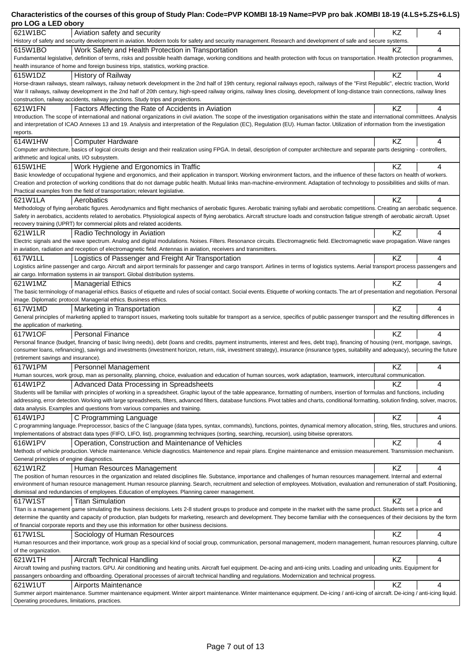### **Characteristics of the courses of this group of Study Plan: Code=PVP KOMBI 18-19 Name=PVP pro bak .KOMBI 18-19 (4.LS+5.ZS+6.LS) pro LOG a LED obory**

| pro LOG a LED opory                                                                                                                                                                                                                                                                                                                                                                   |           |   |
|---------------------------------------------------------------------------------------------------------------------------------------------------------------------------------------------------------------------------------------------------------------------------------------------------------------------------------------------------------------------------------------|-----------|---|
| 621W1BC<br>Aviation safety and security                                                                                                                                                                                                                                                                                                                                               | ΚZ        | 4 |
| History of safety and security development in aviation. Modern tools for safety and security management. Research and development of safe and secure systems.<br>615W1BO<br>Work Safety and Health Protection in Transportation                                                                                                                                                       | KZ        | 4 |
| Fundamental legislative, definition of terms, risks and possible health damage, working conditions and health protection with focus on transportation. Health protection programmes,                                                                                                                                                                                                  |           |   |
| health insurance of home and foreign business trips, statistics, working practice.                                                                                                                                                                                                                                                                                                    |           |   |
| 615W1DZ<br>History of Railway                                                                                                                                                                                                                                                                                                                                                         | KZ        | 4 |
| Horse-drawn railways, steam railways, railway network development in the 2nd half of 19th century, regional railways epoch, railways of the "First Republic", electric traction, World<br>War II railways, railway development in the 2nd half of 20th century, high-speed railway origins, railway lines closing, development of long-distance train connections, railway lines      |           |   |
| construction, railway accidents, railway junctions. Study trips and projections.                                                                                                                                                                                                                                                                                                      |           |   |
| 621W1FN<br>Factors Affecting the Rate of Accidents in Aviation                                                                                                                                                                                                                                                                                                                        | KZ        | 4 |
| Introduction. The scope of international and national organizations in civil aviation. The scope of the investigation organisations within the state and international committees. Analysis                                                                                                                                                                                           |           |   |
| and interpretation of ICAO Annexes 13 and 19. Analysis and interpretation of the Regulation (EC), Regulation (EU). Human factor. Utilization of information from the investigation<br>reports.                                                                                                                                                                                        |           |   |
| 614W1HW<br><b>Computer Hardware</b>                                                                                                                                                                                                                                                                                                                                                   | KZ        | 4 |
| Computer architecture, basics of logical circuits design and their realization using FPGA. In detail, description of computer architecture and separate parts designing - controllers,                                                                                                                                                                                                |           |   |
| arithmetic and logical units, I/O subsystem.                                                                                                                                                                                                                                                                                                                                          |           | 4 |
| Work Hygiene and Ergonomics in Traffic<br>615W1HE<br>Basic knowledge of occupational hygiene and ergonomics, and their application in transport. Working environment factors, and the influence of these factors on health of workers.                                                                                                                                                | KZ        |   |
| Creation and protection of working conditions that do not damage public health. Mutual links man-machine-environment. Adaptation of technology to possibilities and skills of man.                                                                                                                                                                                                    |           |   |
| Practical examples from the field of transportation; relevant legislative.                                                                                                                                                                                                                                                                                                            |           |   |
| 621W1LA<br>Aerobatics                                                                                                                                                                                                                                                                                                                                                                 | ΚZ        | 4 |
| Methodology of flying aerobatic figures. Aerodynamics and flight mechanics of aerobatic figures. Aerobatic training syllabi and aerobatic competitions. Creating an aerobatic sequence.<br>Safety in aerobatics, accidents related to aerobatics. Physiological aspects of flying aerobatics. Aircraft structure loads and construction fatigue strength of aerobatic aircraft. Upset |           |   |
| recovery training (UPRT) for commercial pilots and related accidents.                                                                                                                                                                                                                                                                                                                 |           |   |
| 621W1LR<br>Radio Technology in Aviation                                                                                                                                                                                                                                                                                                                                               | KZ        | 4 |
| Electric signals and the wave spectrum. Analog and digital modulations. Noises. Filters. Resonance circuits. Electromagnetic field. Electromagnetic wave propagation. Wave ranges                                                                                                                                                                                                     |           |   |
| in aviation, radiation and reception of electromagnetic field. Antennas in aviation, receivers and transmitters.<br>617W1LL<br>Logistics of Passenger and Freight Air Transportation                                                                                                                                                                                                  | KZ        | 4 |
| Logistics airline passenger and cargo. Aircraft and airport terminals for passenger and cargo transport. Airlines in terms of logistics systems. Aerial transport process passengers and                                                                                                                                                                                              |           |   |
| air cargo. Information systems in air transport. Global distribution systems.                                                                                                                                                                                                                                                                                                         |           |   |
| 621W1MZ<br>  Managerial Ethics                                                                                                                                                                                                                                                                                                                                                        | KZ        | 4 |
| The basic terminology of managerial ethics. Basics of etiquette and rules of social contact. Social events. Etiquette of working contacts. The art of presentation and negotiation. Personal<br>image. Diplomatic protocol. Managerial ethics. Business ethics.                                                                                                                       |           |   |
| 617W1MD<br>Marketing in Transportation                                                                                                                                                                                                                                                                                                                                                | KZ        | 4 |
| General principles of marketing applied to transport issues, marketing tools suitable for transport as a service, specifics of public passenger transport and the resulting differences in                                                                                                                                                                                            |           |   |
| the application of marketing.                                                                                                                                                                                                                                                                                                                                                         |           |   |
| 617W1OF<br><b>Personal Finance</b>                                                                                                                                                                                                                                                                                                                                                    | KZ        | 4 |
| Personal finance (budget, financing of basic living needs), debt (loans and credits, payment instruments, interest and fees, debt trap), financing of housing (rent, mortgage, savings,<br>consumer loans, refinancing), savings and investments (investment horizon, return, risk, investment strategy), insurance (insurance types, suitability and adequacy), securing the future  |           |   |
| (retirement savings and insurance).                                                                                                                                                                                                                                                                                                                                                   |           |   |
| 617W1PM<br>Personnel Management                                                                                                                                                                                                                                                                                                                                                       | ΚZ        | 4 |
| Human sources, work group, man as personality, planning, choice, evaluation and education of human sources, work adaptation, teamwork, intercultural communication.                                                                                                                                                                                                                   |           |   |
| 614W1PZ<br>Advanced Data Processing in Spreadsheets<br>Students will be familiar with principles of working in a spreadsheet. Graphic layout of the table appearance, formatting of numbers, insertion of formulas and functions, including                                                                                                                                           | KZ        | 4 |
| addressing, error detection. Working with large spreadsheets, filters, advanced filters, database functions. Pivot tables and charts, conditional formatting, solution finding, solver, macros,                                                                                                                                                                                       |           |   |
| data analysis. Examples and questions from various companies and training.                                                                                                                                                                                                                                                                                                            |           |   |
| 614W1PJ<br>C Programming Language                                                                                                                                                                                                                                                                                                                                                     | KZ        | 4 |
| C programming language. Preprocessor, basics of the C language (data types, syntax, commands), functions, pointes, dynamical memory allocation, string, files, structures and unions.<br>Implementations of abstract data types (FIFO, LIFO, list), programming techniques (sorting, searching, recursion), using bitwise oprerators.                                                 |           |   |
| Operation, Construction and Maintenance of Vehicles<br>616W1PV                                                                                                                                                                                                                                                                                                                        | <b>KZ</b> | 4 |
| Methods of vehicle production. Vehicle maintenance. Vehicle diagnostics. Maintenence and repair plans. Engine maintenance and emission measurement. Transmission mechanism.                                                                                                                                                                                                           |           |   |
| General principles of engine diagnostics.                                                                                                                                                                                                                                                                                                                                             |           |   |
| Human Resources Management<br>621W1RZ<br>The position of human resources in the organization and related disciplines file. Substance, importance and challenges of human resources management. Internal and external                                                                                                                                                                  | KZ        | 4 |
| environment of human resource management. Human resource planning. Search, recruitment and selection of employees. Motivation, evaluation and remuneration of staff. Positioning,                                                                                                                                                                                                     |           |   |
| dismissal and redundancies of employees. Education of employees. Planning career management.                                                                                                                                                                                                                                                                                          |           |   |
| 617W1ST<br><b>Titan Simulation</b>                                                                                                                                                                                                                                                                                                                                                    | KZ        | 4 |
| Titan is a management game simulating the business decisions. Lets 2-8 student groups to produce and compete in the market with the same product. Students set a price and<br>determine the quantity and capacity of production, plan budgets for marketing, research and development. They become familiar with the consequences of their decisions by the form                      |           |   |
| of financial corporate reports and they use this information for other business decisions.                                                                                                                                                                                                                                                                                            |           |   |
| 617W1SL<br>Sociology of Human Resources                                                                                                                                                                                                                                                                                                                                               | KZ        | 4 |
| Human resources and their importance, work group as a special kind of social group, communication, personal management, modern management, human resources planning, culture                                                                                                                                                                                                          |           |   |
| of the organization.<br>621W1TH                                                                                                                                                                                                                                                                                                                                                       | KZ        | 4 |
| Aircraft Technical Handling<br>Aircraft towing and pushing tractors. GPU. Air conditioning and heating units. Aircraft fuel equipment. De-acing and anti-icing units. Loading and unloading units. Equipment for                                                                                                                                                                      |           |   |
| passangers onboarding and offboarding. Operational processes of aircraft technical handling and regulations. Modernization and technical progress.                                                                                                                                                                                                                                    |           |   |
| 621W1UT<br>Airports Maintenance                                                                                                                                                                                                                                                                                                                                                       | KZ        | 4 |
| Summer airport maintenance. Summer maintenance equipment. Winter airport maintenance. Winter maintenance equipment. De-icing / anti-icing of aircraft. De-icing / anti-icing liquid.                                                                                                                                                                                                  |           |   |
| Operating procedures, limitations, practices.                                                                                                                                                                                                                                                                                                                                         |           |   |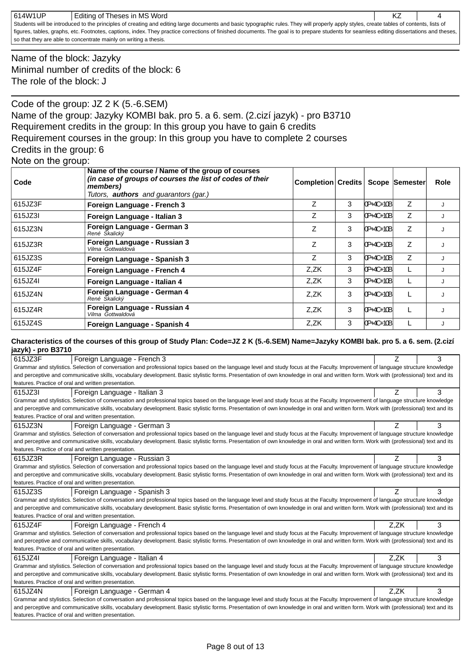| 614W1UP | Editing of Theses in MS Word                                                                                                                                                              |  |
|---------|-------------------------------------------------------------------------------------------------------------------------------------------------------------------------------------------|--|
|         | Students will be introduced to the principles of creating and editing large documents and basic typographic rules. They will properly apply styles, create tables of contents, lists of   |  |
|         | figures, tables, graphs, etc. Footnotes, captions, index. They practice corrections of finished documents. The goal is to prepare students for seamless editing dissertations and theses, |  |
|         | so that they are able to concentrate mainly on writing a thesis.                                                                                                                          |  |

Name of the block: Jazyky Minimal number of credits of the block: 6 The role of the block: J

Code of the group: JZ 2 K (5.-6.SEM) Name of the group: Jazyky KOMBI bak. pro 5. a 6. sem. (2.cizí jazyk) - pro B3710 Requirement credits in the group: In this group you have to gain 6 credits Requirement courses in the group: In this group you have to complete 2 courses Credits in the group: 6

|  |  |  |  | Note on the group: |  |
|--|--|--|--|--------------------|--|
|--|--|--|--|--------------------|--|

| Code    | Name of the course / Name of the group of courses<br>(in case of groups of courses the list of codes of their<br>members)<br>Tutors, <b>authors</b> and guarantors (gar.) | <b>Completion Credits</b> |   |               | Scope Semester | Role |
|---------|---------------------------------------------------------------------------------------------------------------------------------------------------------------------------|---------------------------|---|---------------|----------------|------|
| 615JZ3F | Foreign Language - French 3                                                                                                                                               | Z                         | 3 | $[OP+4C+10B]$ | Z              |      |
| 615JZ3I | Foreign Language - Italian 3                                                                                                                                              | Ζ                         | 3 | 10P+4C+10B    | Z              |      |
| 615JZ3N | Foreign Language - German 3<br>René Skalický                                                                                                                              | Z                         | 3 | 0P+4C+10B     | Z              |      |
| 615JZ3R | Foreign Language - Russian 3<br>Vilma Gottwaldová                                                                                                                         | Z                         | 3 | $[OP+4C+10B]$ | Z              |      |
| 615JZ3S | Foreign Language - Spanish 3                                                                                                                                              | Z                         | 3 | 0P+4C+10B     | Z              |      |
| 615JZ4F | Foreign Language - French 4                                                                                                                                               | Z,ZK                      | 3 | 0P+4C+10B     |                |      |
| 615JZ4I | Foreign Language - Italian 4                                                                                                                                              | Z,ZK                      | 3 | 0P+4C+10B     | L              |      |
| 615JZ4N | Foreign Language - German 4<br>René Škalický                                                                                                                              | Z,ZK                      | 3 | 10P+4C+10B    | L              |      |
| 615JZ4R | Foreign Language - Russian 4<br>Vilma Gottwaldová                                                                                                                         | Z,ZK                      | 3 | 0P+4C+10B     | L              |      |
| 615JZ4S | Foreign Language - Spanish 4                                                                                                                                              | Z.ZK                      | 3 | $[OP+4C+10B]$ |                |      |

#### **Characteristics of the courses of this group of Study Plan: Code=JZ 2 K (5.-6.SEM) Name=Jazyky KOMBI bak. pro 5. a 6. sem. (2.cizí jazyk) - pro B3710**

| 615JZ3F | Foreign Language - French 3                                                                                                                                                           | Z    | 3 |
|---------|---------------------------------------------------------------------------------------------------------------------------------------------------------------------------------------|------|---|
|         | Grammar and stylistics. Selection of conversation and professional topics based on the language level and study focus at the Faculty. Improvement of language structure knowledge     |      |   |
|         | and perceptive and communicative skills, vocabulary development. Basic stylistic forms. Presentation of own knowledge in oral and written form. Work with (professional) text and its |      |   |
|         | features. Practice of oral and written presentation.                                                                                                                                  |      |   |
| 615JZ3I | Foreign Language - Italian 3                                                                                                                                                          | Z    | 3 |
|         | Grammar and stylistics. Selection of conversation and professional topics based on the language level and study focus at the Faculty. Improvement of language structure knowledge     |      |   |
|         | and perceptive and communicative skills, vocabulary development. Basic stylistic forms. Presentation of own knowledge in oral and written form. Work with (professional) text and its |      |   |
|         | features. Practice of oral and written presentation.                                                                                                                                  |      |   |
| 615JZ3N | Foreign Language - German 3                                                                                                                                                           | Z    | 3 |
|         | Grammar and stylistics. Selection of conversation and professional topics based on the language level and study focus at the Faculty. Improvement of language structure knowledge     |      |   |
|         | and perceptive and communicative skills, vocabulary development. Basic stylistic forms. Presentation of own knowledge in oral and written form. Work with (professional) text and its |      |   |
|         | features. Practice of oral and written presentation.                                                                                                                                  |      |   |
| 615JZ3R | Foreign Language - Russian 3                                                                                                                                                          | Ζ    | 3 |
|         | Grammar and stylistics. Selection of conversation and professional topics based on the language level and study focus at the Faculty. Improvement of language structure knowledge     |      |   |
|         | and perceptive and communicative skills, vocabulary development. Basic stylistic forms. Presentation of own knowledge in oral and written form. Work with (professional) text and its |      |   |
|         | features. Practice of oral and written presentation.                                                                                                                                  |      |   |
|         |                                                                                                                                                                                       |      |   |
| 615JZ3S | Foreign Language - Spanish 3                                                                                                                                                          | Z    | 3 |
|         | Grammar and stylistics. Selection of conversation and professional topics based on the language level and study focus at the Faculty. Improvement of language structure knowledge     |      |   |
|         | and perceptive and communicative skills, vocabulary development. Basic stylistic forms. Presentation of own knowledge in oral and written form. Work with (professional) text and its |      |   |
|         | features. Practice of oral and written presentation.                                                                                                                                  |      |   |
| 615JZ4F | Foreign Language - French 4                                                                                                                                                           | Z,ZK | 3 |
|         | Grammar and stylistics. Selection of conversation and professional topics based on the language level and study focus at the Faculty. Improvement of language structure knowledge     |      |   |
|         | and perceptive and communicative skills, vocabulary development. Basic stylistic forms. Presentation of own knowledge in oral and written form. Work with (professional) text and its |      |   |
|         | features. Practice of oral and written presentation.                                                                                                                                  |      |   |
| 615JZ4I | Foreign Language - Italian 4                                                                                                                                                          | Z.ZK | 3 |
|         | Grammar and stylistics. Selection of conversation and professional topics based on the language level and study focus at the Faculty. Improvement of language structure knowledge     |      |   |
|         | and perceptive and communicative skills, vocabulary development. Basic stylistic forms. Presentation of own knowledge in oral and written form. Work with (professional) text and its |      |   |
|         | features. Practice of oral and written presentation.                                                                                                                                  |      |   |
| 615JZ4N | Foreign Language - German 4                                                                                                                                                           | Z.ZK | 3 |
|         | Grammar and stylistics. Selection of conversation and professional topics based on the language level and study focus at the Faculty. Improvement of language structure knowledge     |      |   |
|         | and perceptive and communicative skills, vocabulary development. Basic stylistic forms. Presentation of own knowledge in oral and written form. Work with (professional) text and its |      |   |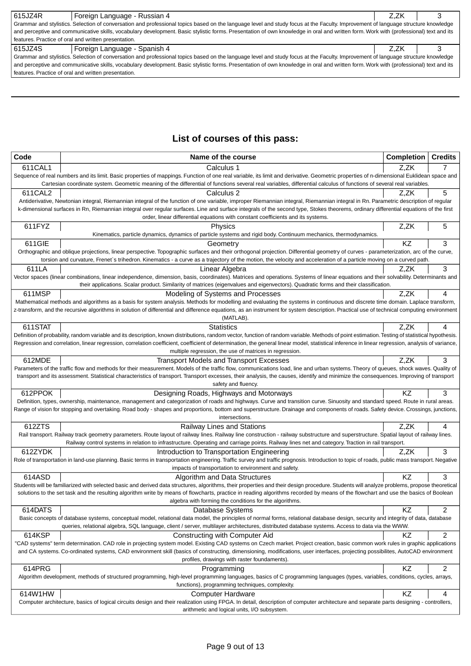| 615JZ4R                                                                                                                                                                               | Foreign Language - Russian 4<br>Z.ZK                 |  |  |  |  |  |
|---------------------------------------------------------------------------------------------------------------------------------------------------------------------------------------|------------------------------------------------------|--|--|--|--|--|
| Grammar and stylistics. Selection of conversation and professional topics based on the language level and study focus at the Faculty. Improvement of language structure knowledge     |                                                      |  |  |  |  |  |
| and perceptive and communicative skills, vocabulary development. Basic stylistic forms. Presentation of own knowledge in oral and written form. Work with (professional) text and its |                                                      |  |  |  |  |  |
| features. Practice of oral and written presentation.                                                                                                                                  |                                                      |  |  |  |  |  |
| 615JZ4S<br>Foreign Language - Spanish 4<br>Z.ZK                                                                                                                                       |                                                      |  |  |  |  |  |
| Grammar and stylistics. Selection of conversation and professional topics based on the language level and study focus at the Faculty. Improvement of language structure knowledge     |                                                      |  |  |  |  |  |
| and perceptive and communicative skills, vocabulary development. Basic stylistic forms. Presentation of own knowledge in oral and written form. Work with (professional) text and its |                                                      |  |  |  |  |  |
|                                                                                                                                                                                       | features. Practice of oral and written presentation. |  |  |  |  |  |

# **List of courses of this pass:**

| Code    | Name of the course                                                                                                                                                                                                                                                                                                                                                             | <b>Completion</b> | <b>Credits</b> |
|---------|--------------------------------------------------------------------------------------------------------------------------------------------------------------------------------------------------------------------------------------------------------------------------------------------------------------------------------------------------------------------------------|-------------------|----------------|
| 611CAL1 | Calculus 1                                                                                                                                                                                                                                                                                                                                                                     | Z,ZK              |                |
|         | Sequence of real numbers and its limit. Basic properties of mappings. Function of one real variable, its limit and derivative. Geometric properties of n-dimensional Euklidean space and                                                                                                                                                                                       |                   |                |
|         | Cartesian coordinate system. Geometric meaning of the differential of functions several real variables, differential calculus of functions of several real variables.                                                                                                                                                                                                          |                   |                |
| 611CAL2 | Calculus 2                                                                                                                                                                                                                                                                                                                                                                     | Z.ZK              | 5              |
|         | Antiderivative, Newtonian integral, Riemannian integral of the function of one variable, improper Riemannian integral, Riemannian integral in Rn. Parametric description of regular                                                                                                                                                                                            |                   |                |
|         | k-dimensional surfaces in Rn, Riemannian integral over regular surfaces. Line and surface integrals of the second type, Stokes theorems, ordinary differential equations of the first<br>order, linear differential equations with constant coefficients and its systems.                                                                                                      |                   |                |
| 611FYZ  | Physics                                                                                                                                                                                                                                                                                                                                                                        | Z,ZK              | 5              |
|         | Kinematics, particle dynamics, dynamics of particle systems and rigid body. Continuum mechanics, thermodynamics.                                                                                                                                                                                                                                                               |                   |                |
| 611GIE  | Geometry                                                                                                                                                                                                                                                                                                                                                                       | KZ                | 3              |
|         | Orthographic and oblique projections, linear perspective. Topographic surfaces and their orthogonal projection. Differential geometry of curves - parameterization, arc of the curve,                                                                                                                                                                                          |                   |                |
|         | torsion and curvature, Frenet's trihedron. Kinematics - a curve as a trajectory of the motion, the velocity and acceleration of a particle moving on a curved path.                                                                                                                                                                                                            |                   |                |
| 611LA   | Linear Algebra                                                                                                                                                                                                                                                                                                                                                                 | Z.ZK              | 3              |
|         | Vector spaces (linear combinations, linear independence, dimension, basis, coordinates). Matrices and operations. Systems of linear equations and their solvability. Determinants and                                                                                                                                                                                          |                   |                |
|         | their applications. Scalar product. Similarity of matrices (eigenvalues and eigenvectors). Quadratic forms and their classification.                                                                                                                                                                                                                                           |                   |                |
| 611MSP  | Modeling of Systems and Processes<br>Mathematical methods and algorithms as a basis for system analysis. Methods for modelling and evaluating the systems in continuous and discrete time domain. Laplace transform,                                                                                                                                                           | Z,ZK              | 4              |
|         | z-transform, and the recursive algorithms in solution of differential and difference equations, as an instrument for system description. Practical use of technical computing environment                                                                                                                                                                                      |                   |                |
|         | (MATLAB).                                                                                                                                                                                                                                                                                                                                                                      |                   |                |
| 611STAT | <b>Statistics</b>                                                                                                                                                                                                                                                                                                                                                              | Z.ZK              | 4              |
|         | Definition of probability, random variable and its description, known distributions, random vector, function of random variable. Methods of point estimation. Testing of statistical hypothesis.                                                                                                                                                                               |                   |                |
|         | Regression and correlation, linear regression, correlation coefficient, coefficient of determination, the general linear model, statistical inference in linear regression, analysis of variance,                                                                                                                                                                              |                   |                |
|         | multiple regression, the use of matrices in regression.                                                                                                                                                                                                                                                                                                                        |                   |                |
| 612MDE  | <b>Transport Models and Transport Excesses</b>                                                                                                                                                                                                                                                                                                                                 | Z,ZK              | 3              |
|         | Parameters of the traffic flow and methods for their measurement. Models of the traffic flow, communications load, line and urban systems. Theory of queues, shock waves. Quality of<br>transport and its assessment. Statistical characteristics of transport. Transport excesses, their analysis, the causes, identify and minimize the consequences. Improving of transport |                   |                |
|         | safety and fluency.                                                                                                                                                                                                                                                                                                                                                            |                   |                |
| 612PPOK | Designing Roads, Highways and Motorways                                                                                                                                                                                                                                                                                                                                        | ΚZ                | 3              |
|         | Definition, types, ownership, maintenance, management and categorization of roads and highways. Curve and transition curve. Sinuosity and standard speed. Route in rural areas.                                                                                                                                                                                                |                   |                |
|         | Range of vision for stopping and overtaking. Road body - shapes and proportions, bottom and superstructure. Drainage and components of roads. Safety device. Crossings, junctions,                                                                                                                                                                                             |                   |                |
|         | intersections.                                                                                                                                                                                                                                                                                                                                                                 |                   |                |
| 612ZTS  | Railway Lines and Stations<br>Rail transport. Railway track geometry parameters. Route layout of railway lines. Railway line construction - railway substructure and superstructure. Spatial layout of railway lines.                                                                                                                                                          | Z,ZK              | 4              |
|         | Railway control systems in relation to infrastructure. Operating and carriage points. Railway lines net and category. Traction in rail transport.                                                                                                                                                                                                                              |                   |                |
| 612ZYDK | Introduction to Transportation Engineering                                                                                                                                                                                                                                                                                                                                     | Z,ZK              | 3              |
|         | Role of transportation in land-use planning. Basic terms in transportation engineering. Traffic survey and traffic prognosis. Introduction to topic of roads, public mass transport. Negative                                                                                                                                                                                  |                   |                |
|         | impacts of transportation to environment and safety.                                                                                                                                                                                                                                                                                                                           |                   |                |
| 614ASD  | Algorithm and Data Structures                                                                                                                                                                                                                                                                                                                                                  | ΚZ                | 3              |
|         | Students will be familiarized with selected basic and derived data structures, algorithms, their properties and their design procedure. Students will analyze problems, propose theoretical                                                                                                                                                                                    |                   |                |
|         | solutions to the set task and the resulting algorithm write by means of flowcharts, practice in reading algorithms recorded by means of the flowchart and use the basics of Boolean                                                                                                                                                                                            |                   |                |
|         | algebra with forming the conditions for the algorithms.                                                                                                                                                                                                                                                                                                                        |                   |                |
| 614DATS | Database Systems<br>Basic concepts of database systems, conceptual model, relational data model, the principles of normal forms, relational database design, security and integrity of data, database                                                                                                                                                                          | KZ                | 2              |
|         | queries, relational algebra, SQL language, client / server, multilayer architectures, distributed database systems. Access to data via the WWW.                                                                                                                                                                                                                                |                   |                |
| 614KSP  | Constructing with Computer Aid                                                                                                                                                                                                                                                                                                                                                 | KZ                | 2              |
|         | "CAD systems" term determination. CAD role in projecting system model. Existing CAD systems on Czech market. Project creation, basic common work rules in graphic applications                                                                                                                                                                                                 |                   |                |
|         | and CA systems. Co-ordinated systems, CAD environment skill (basics of constructing, dimensioning, modifications, user interfaces, projecting possibilites, AutoCAD environment                                                                                                                                                                                                |                   |                |
|         | profiles, drawings with raster foundaments).                                                                                                                                                                                                                                                                                                                                   |                   |                |
| 614PRG  | Programming                                                                                                                                                                                                                                                                                                                                                                    | <b>KZ</b>         | 2              |
|         | Algorithm development, methods of structured programming, high-level programming languages, basics of C programming languages (types, variables, conditions, cycles, arrays,                                                                                                                                                                                                   |                   |                |
|         | functions), programming techniques, complexity.                                                                                                                                                                                                                                                                                                                                |                   |                |
| 614W1HW | <b>Computer Hardware</b><br>Computer architecture, basics of logical circuits design and their realization using FPGA. In detail, description of computer architecture and separate parts designing - controllers,                                                                                                                                                             | KZ                | 4              |
|         | arithmetic and logical units, I/O subsystem.                                                                                                                                                                                                                                                                                                                                   |                   |                |
|         |                                                                                                                                                                                                                                                                                                                                                                                |                   |                |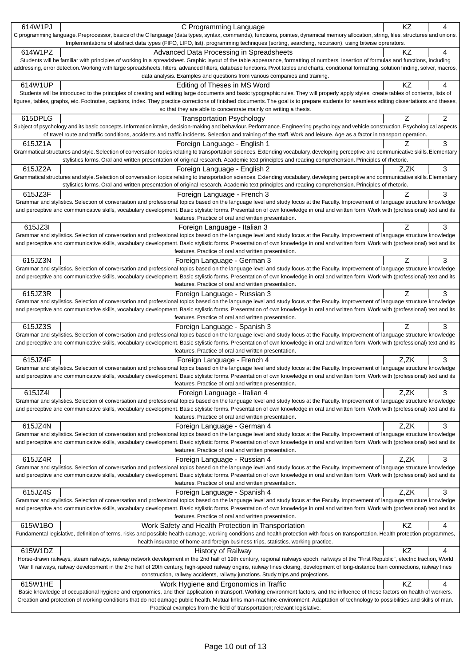| 614W1PJ | C Programming Language                                                                                                                                                                                                                                                                                                                                                     | KZ   | 4 |
|---------|----------------------------------------------------------------------------------------------------------------------------------------------------------------------------------------------------------------------------------------------------------------------------------------------------------------------------------------------------------------------------|------|---|
|         | C programming language. Preprocessor, basics of the C language (data types, syntax, commands), functions, pointes, dynamical memory allocation, string, files, structures and unions.                                                                                                                                                                                      |      |   |
|         | Implementations of abstract data types (FIFO, LIFO, list), programming techniques (sorting, searching, recursion), using bitwise oprerators.                                                                                                                                                                                                                               |      |   |
| 614W1PZ | Advanced Data Processing in Spreadsheets                                                                                                                                                                                                                                                                                                                                   | KZ   | 4 |
|         | Students will be familiar with principles of working in a spreadsheet. Graphic layout of the table appearance, formatting of numbers, insertion of formulas and functions, including                                                                                                                                                                                       |      |   |
|         | addressing, error detection. Working with large spreadsheets, filters, advanced filters, database functions. Pivot tables and charts, conditional formatting, solution finding, solver, macros,                                                                                                                                                                            |      |   |
|         | data analysis. Examples and questions from various companies and training.                                                                                                                                                                                                                                                                                                 |      |   |
| 614W1UP | Editing of Theses in MS Word                                                                                                                                                                                                                                                                                                                                               | ΚZ   | 4 |
|         | Students will be introduced to the principles of creating and editing large documents and basic typographic rules. They will properly apply styles, create tables of contents, lists of                                                                                                                                                                                    |      |   |
|         | figures, tables, graphs, etc. Footnotes, captions, index. They practice corrections of finished documents. The goal is to prepare students for seamless editing dissertations and theses,                                                                                                                                                                                  |      |   |
|         | so that they are able to concentrate mainly on writing a thesis.                                                                                                                                                                                                                                                                                                           |      |   |
| 615DPLG | <b>Transportation Psychology</b>                                                                                                                                                                                                                                                                                                                                           | Ζ    | 2 |
|         | Subject of psychology and its basic concepts. Information intake, decision-making and behaviour. Performance. Engineering psychology and vehicle construction. Psychological aspects                                                                                                                                                                                       |      |   |
|         | of travel route and traffic conditions, accidents and traffic incidents. Selection and training of the staff. Work and leisure. Age as a factor in transport operation.                                                                                                                                                                                                    |      |   |
| 615JZ1A | Foreign Language - English 1                                                                                                                                                                                                                                                                                                                                               |      | 3 |
|         | Grammatical structures and style. Selection of conversation topics relating to transportation sciences. Extending vocabulary, developing perceptive and communicative skills. Elementary                                                                                                                                                                                   |      |   |
|         | stylistics forms. Oral and written presentation of original research. Academic text principles and reading comprehension. Principles of rhetoric.                                                                                                                                                                                                                          |      |   |
| 615JZ2A | Foreign Language - English 2                                                                                                                                                                                                                                                                                                                                               | Z.ZK | 3 |
|         | Grammatical structures and style. Selection of conversation topics relating to transportation sciences. Extending vocabulary, developing perceptive and communicative skills. Elementary                                                                                                                                                                                   |      |   |
|         | stylistics forms. Oral and written presentation of original research. Academic text principles and reading comprehension. Principles of rhetoric.                                                                                                                                                                                                                          |      |   |
| 615JZ3F | Foreign Language - French 3                                                                                                                                                                                                                                                                                                                                                | Z    | 3 |
|         | Grammar and stylistics. Selection of conversation and professional topics based on the language level and study focus at the Faculty. Improvement of language structure knowledge                                                                                                                                                                                          |      |   |
|         | and perceptive and communicative skills, vocabulary development. Basic stylistic forms. Presentation of own knowledge in oral and written form. Work with (professional) text and its                                                                                                                                                                                      |      |   |
|         | features. Practice of oral and written presentation.                                                                                                                                                                                                                                                                                                                       |      |   |
| 615JZ3I | Foreign Language - Italian 3                                                                                                                                                                                                                                                                                                                                               | Ζ    | 3 |
|         | Grammar and stylistics. Selection of conversation and professional topics based on the language level and study focus at the Faculty. Improvement of language structure knowledge                                                                                                                                                                                          |      |   |
|         | and perceptive and communicative skills, vocabulary development. Basic stylistic forms. Presentation of own knowledge in oral and written form. Work with (professional) text and its<br>features. Practice of oral and written presentation.                                                                                                                              |      |   |
| 615JZ3N |                                                                                                                                                                                                                                                                                                                                                                            | Ζ    | 3 |
|         | Foreign Language - German 3<br>Grammar and stylistics. Selection of conversation and professional topics based on the language level and study focus at the Faculty. Improvement of language structure knowledge                                                                                                                                                           |      |   |
|         | and perceptive and communicative skills, vocabulary development. Basic stylistic forms. Presentation of own knowledge in oral and written form. Work with (professional) text and its                                                                                                                                                                                      |      |   |
|         | features. Practice of oral and written presentation.                                                                                                                                                                                                                                                                                                                       |      |   |
| 615JZ3R | Foreign Language - Russian 3                                                                                                                                                                                                                                                                                                                                               | Ζ    | 3 |
|         | Grammar and stylistics. Selection of conversation and professional topics based on the language level and study focus at the Faculty. Improvement of language structure knowledge                                                                                                                                                                                          |      |   |
|         | and perceptive and communicative skills, vocabulary development. Basic stylistic forms. Presentation of own knowledge in oral and written form. Work with (professional) text and its                                                                                                                                                                                      |      |   |
|         | features. Practice of oral and written presentation.                                                                                                                                                                                                                                                                                                                       |      |   |
| 615JZ3S | Foreign Language - Spanish 3                                                                                                                                                                                                                                                                                                                                               | Ζ    | 3 |
|         | Grammar and stylistics. Selection of conversation and professional topics based on the language level and study focus at the Faculty. Improvement of language structure knowledge                                                                                                                                                                                          |      |   |
|         | and perceptive and communicative skills, vocabulary development. Basic stylistic forms. Presentation of own knowledge in oral and written form. Work with (professional) text and its                                                                                                                                                                                      |      |   |
|         | features. Practice of oral and written presentation.                                                                                                                                                                                                                                                                                                                       |      |   |
| 615JZ4F | Foreign Language - French 4                                                                                                                                                                                                                                                                                                                                                | Z.ZK | 3 |
|         | Grammar and stylistics. Selection of conversation and professional topics based on the language level and study focus at the Faculty. Improvement of language structure knowledge                                                                                                                                                                                          |      |   |
|         | and perceptive and communicative skills, vocabulary development. Basic stylistic forms. Presentation of own knowledge in oral and written form. Work with (professional) text and its                                                                                                                                                                                      |      |   |
|         | features. Practice of oral and written presentation.                                                                                                                                                                                                                                                                                                                       |      |   |
| 615JZ4I | Foreign Language - Italian 4                                                                                                                                                                                                                                                                                                                                               | Z,ZK | 3 |
|         | Grammar and stylistics. Selection of conversation and professional topics based on the language level and study focus at the Faculty. Improvement of language structure knowledge                                                                                                                                                                                          |      |   |
|         | and perceptive and communicative skills, vocabulary development. Basic stylistic forms. Presentation of own knowledge in oral and written form. Work with (professional) text and its                                                                                                                                                                                      |      |   |
|         | features. Practice of oral and written presentation.                                                                                                                                                                                                                                                                                                                       |      |   |
| 615JZ4N | Foreign Language - German 4                                                                                                                                                                                                                                                                                                                                                | Z,ZK | 3 |
|         | Grammar and stylistics. Selection of conversation and professional topics based on the language level and study focus at the Faculty. Improvement of language structure knowledge<br>and perceptive and communicative skills, vocabulary development. Basic stylistic forms. Presentation of own knowledge in oral and written form. Work with (professional) text and its |      |   |
|         | features. Practice of oral and written presentation.                                                                                                                                                                                                                                                                                                                       |      |   |
| 615JZ4R |                                                                                                                                                                                                                                                                                                                                                                            | Z,ZK | 3 |
|         | Foreign Language - Russian 4<br>Grammar and stylistics. Selection of conversation and professional topics based on the language level and study focus at the Faculty. Improvement of language structure knowledge                                                                                                                                                          |      |   |
|         | and perceptive and communicative skills, vocabulary development. Basic stylistic forms. Presentation of own knowledge in oral and written form. Work with (professional) text and its                                                                                                                                                                                      |      |   |
|         | features. Practice of oral and written presentation.                                                                                                                                                                                                                                                                                                                       |      |   |
| 615JZ4S | Foreign Language - Spanish 4                                                                                                                                                                                                                                                                                                                                               | Z,ZK | 3 |
|         | Grammar and stylistics. Selection of conversation and professional topics based on the language level and study focus at the Faculty. Improvement of language structure knowledge                                                                                                                                                                                          |      |   |
|         | and perceptive and communicative skills, vocabulary development. Basic stylistic forms. Presentation of own knowledge in oral and written form. Work with (professional) text and its                                                                                                                                                                                      |      |   |
|         | features. Practice of oral and written presentation.                                                                                                                                                                                                                                                                                                                       |      |   |
| 615W1BO | Work Safety and Health Protection in Transportation                                                                                                                                                                                                                                                                                                                        | KZ   | 4 |
|         | Fundamental legislative, definition of terms, risks and possible health damage, working conditions and health protection with focus on transportation. Health protection programmes,                                                                                                                                                                                       |      |   |
|         | health insurance of home and foreign business trips, statistics, working practice.                                                                                                                                                                                                                                                                                         |      |   |
| 615W1DZ | <b>History of Railway</b>                                                                                                                                                                                                                                                                                                                                                  | KZ   | 4 |
|         | Horse-drawn railways, steam railways, railway network development in the 2nd half of 19th century, regional railways epoch, railways of the "First Republic", electric traction, World                                                                                                                                                                                     |      |   |
|         | War II railways, railway development in the 2nd half of 20th century, high-speed railway origins, railway lines closing, development of long-distance train connections, railway lines                                                                                                                                                                                     |      |   |
|         | construction, railway accidents, railway junctions. Study trips and projections.                                                                                                                                                                                                                                                                                           |      |   |
| 615W1HE | Work Hygiene and Ergonomics in Traffic                                                                                                                                                                                                                                                                                                                                     | KZ   | 4 |
|         | Basic knowledge of occupational hygiene and ergonomics, and their application in transport. Working environment factors, and the influence of these factors on health of workers.                                                                                                                                                                                          |      |   |
|         | Creation and protection of working conditions that do not damage public health. Mutual links man-machine-environment. Adaptation of technology to possibilities and skills of man.                                                                                                                                                                                         |      |   |
|         | Practical examples from the field of transportation; relevant legislative.                                                                                                                                                                                                                                                                                                 |      |   |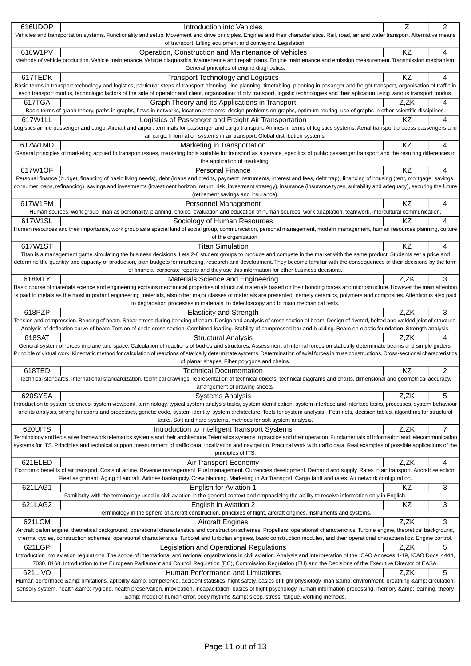| 616UDOP                                                                                                                                                                                     | Introduction into Vehicles<br>Vehicles and transportation systems. Functionality and setup. Movement and drive principles. Engines and their characteristics. Rail, road, air and water transport. Alternative means                                                                                                                                                                     | z    | 2              |  |  |  |  |
|---------------------------------------------------------------------------------------------------------------------------------------------------------------------------------------------|------------------------------------------------------------------------------------------------------------------------------------------------------------------------------------------------------------------------------------------------------------------------------------------------------------------------------------------------------------------------------------------|------|----------------|--|--|--|--|
| of transport. Lifting equipment and conveyors. Legislation.                                                                                                                                 |                                                                                                                                                                                                                                                                                                                                                                                          |      |                |  |  |  |  |
| 616W1PV                                                                                                                                                                                     | Operation, Construction and Maintenance of Vehicles<br>Methods of vehicle production. Vehicle maintenance. Vehicle diagnostics. Maintenence and repair plans. Engine maintenance and emission measurement. Transmission mechanism.<br>General principles of engine diagnostics.                                                                                                          | KZ   | 4              |  |  |  |  |
| 617TEDK                                                                                                                                                                                     | <b>Transport Technology and Logistics</b>                                                                                                                                                                                                                                                                                                                                                | KZ   | 4              |  |  |  |  |
|                                                                                                                                                                                             | Basic terms in transport technology and logistics, particular steps of transport planning, line planning, timetabling, planning in pasanger and freight transport, organisation of traffic in<br>each transport modus, technologic factors of the side of operator and client, organisation of city transport, logistic technologies and their aplication using various transport modus. |      |                |  |  |  |  |
| 617TGA                                                                                                                                                                                      | Graph Theory and its Applications in Transport<br>Basic terms of graph theory, paths in graphs, flows in networks, location problems, design problems on graphs, optimum routing, use of graphs in other scientific disciplines.                                                                                                                                                         | Z.ZK | 4              |  |  |  |  |
| 617W1LL                                                                                                                                                                                     | Logistics of Passenger and Freight Air Transportation                                                                                                                                                                                                                                                                                                                                    | ΚZ   | 4              |  |  |  |  |
|                                                                                                                                                                                             | Logistics airline passenger and cargo. Aircraft and airport terminals for passenger and cargo transport. Airlines in terms of logistics systems. Aerial transport process passengers and<br>air cargo. Information systems in air transport. Global distribution systems.                                                                                                                |      |                |  |  |  |  |
| 617W1MD                                                                                                                                                                                     | Marketing in Transportation                                                                                                                                                                                                                                                                                                                                                              | KZ   | 4              |  |  |  |  |
|                                                                                                                                                                                             | General principles of marketing applied to transport issues, marketing tools suitable for transport as a service, specifics of public passenger transport and the resulting differences in<br>the application of marketing.                                                                                                                                                              |      |                |  |  |  |  |
| 617W1OF                                                                                                                                                                                     | <b>Personal Finance</b>                                                                                                                                                                                                                                                                                                                                                                  | ΚZ   | 4              |  |  |  |  |
|                                                                                                                                                                                             | Personal finance (budget, financing of basic living needs), debt (loans and credits, payment instruments, interest and fees, debt trap), financing of housing (rent, mortgage, savings,                                                                                                                                                                                                  |      |                |  |  |  |  |
|                                                                                                                                                                                             | consumer loans, refinancing), savings and investments (investment horizon, return, risk, investment strategy), insurance (insurance types, suitability and adequacy), securing the future<br>(retirement savings and insurance).                                                                                                                                                         |      |                |  |  |  |  |
| 617W1PM                                                                                                                                                                                     | Personnel Management                                                                                                                                                                                                                                                                                                                                                                     | KZ   | 4              |  |  |  |  |
|                                                                                                                                                                                             | Human sources, work group, man as personality, planning, choice, evaluation and education of human sources, work adaptation, teamwork, intercultural communication.                                                                                                                                                                                                                      |      |                |  |  |  |  |
| 617W1SL                                                                                                                                                                                     | Sociology of Human Resources                                                                                                                                                                                                                                                                                                                                                             | KZ   | 4              |  |  |  |  |
|                                                                                                                                                                                             | Human resources and their importance, work group as a special kind of social group, communication, personal management, modern management, human resources planning, culture<br>of the organization.                                                                                                                                                                                     |      |                |  |  |  |  |
| 617W1ST                                                                                                                                                                                     | <b>Titan Simulation</b>                                                                                                                                                                                                                                                                                                                                                                  | ΚZ   | 4              |  |  |  |  |
|                                                                                                                                                                                             | Titan is a management game simulating the business decisions. Lets 2-8 student groups to produce and compete in the market with the same product. Students set a price and                                                                                                                                                                                                               |      |                |  |  |  |  |
|                                                                                                                                                                                             | determine the quantity and capacity of production, plan budgets for marketing, research and development. They become familiar with the consequences of their decisions by the form<br>of financial corporate reports and they use this information for other business decisions.                                                                                                         |      |                |  |  |  |  |
| 618MTY                                                                                                                                                                                      | Materials Science and Engineering                                                                                                                                                                                                                                                                                                                                                        | Z,ZK | 3              |  |  |  |  |
|                                                                                                                                                                                             | Basic course of materials science and engineering explains mechanical properties of structural materials based on their bonding forces and microstructure. However the main attention                                                                                                                                                                                                    |      |                |  |  |  |  |
|                                                                                                                                                                                             | is paid to metals as the most important engineering materials, also other major classes of materials are presented, namely ceramics, polymers and composites. Attention is also paid                                                                                                                                                                                                     |      |                |  |  |  |  |
|                                                                                                                                                                                             | to degradation processes in materials, to defectoscopy and to main mechanical tests.                                                                                                                                                                                                                                                                                                     |      |                |  |  |  |  |
| 618PZP                                                                                                                                                                                      | <b>Elasticity and Strength</b>                                                                                                                                                                                                                                                                                                                                                           | Z.ZK | 3              |  |  |  |  |
|                                                                                                                                                                                             | Tension and compression. Bending of beam. Shear stress during bending of beam. Design and analysis of cross section of beam. Design of riveted, bolted and welded joint of structure.                                                                                                                                                                                                    |      |                |  |  |  |  |
|                                                                                                                                                                                             | Analysis of deflection curve of beam. Torsion of circle cross section. Combined loading. Stability of compressed bar and buckling. Beam on elastic foundation. Strength analysis.<br><b>Structural Analysis</b>                                                                                                                                                                          |      |                |  |  |  |  |
| 618SAT                                                                                                                                                                                      | General system of forces in plane and space. Calculation of reactions of bodies and structures. Assessment of internal forces on statically determinate beams and simple girders.                                                                                                                                                                                                        | Z.ZK | 4              |  |  |  |  |
|                                                                                                                                                                                             | Principle of virtual work. Kinematic method for calculation of reactions of statically determinate systems. Determination of axial forces in truss constructions. Cross-sectional characteristics                                                                                                                                                                                        |      |                |  |  |  |  |
|                                                                                                                                                                                             | of planar shapes. Fiber polygons and chains.                                                                                                                                                                                                                                                                                                                                             |      |                |  |  |  |  |
| 618TED                                                                                                                                                                                      | <b>Technical Documentation</b>                                                                                                                                                                                                                                                                                                                                                           | KZ   | $\overline{c}$ |  |  |  |  |
|                                                                                                                                                                                             | Technical standards, international standardization, technical drawings, representation of technical objects, technical diagrams and charts, dimensional and geometrical accuracy,                                                                                                                                                                                                        |      |                |  |  |  |  |
|                                                                                                                                                                                             | arrangement of drawing sheets.                                                                                                                                                                                                                                                                                                                                                           |      |                |  |  |  |  |
| 620SYSA                                                                                                                                                                                     | <b>Systems Analysis</b><br>Introduction to system sciences, system viewpoint, terminology, typical system analysis tasks, system identification, system interface and interface tasks, processes, system behaviour                                                                                                                                                                       | Z,ZK | 5              |  |  |  |  |
|                                                                                                                                                                                             | and its analysis, strong functions and processes, genetic code, system identity, system architecture. Tools for system analysis - Petri nets, decision tables, algorithms for structural                                                                                                                                                                                                 |      |                |  |  |  |  |
|                                                                                                                                                                                             | tasks. Soft and hard systems, methods for soft system analysis.                                                                                                                                                                                                                                                                                                                          |      |                |  |  |  |  |
| 620UITS                                                                                                                                                                                     | Introduction to Intelligent Transport Systems                                                                                                                                                                                                                                                                                                                                            | Z,ZK | 7              |  |  |  |  |
|                                                                                                                                                                                             | Terminology and legislative framework telematics systems and their architecture. Telematics systems in practice and their operation. Fundamentals of information and telecommunication                                                                                                                                                                                                   |      |                |  |  |  |  |
| systems for ITS. Principles and technical support measurement of traffic data, localization and navigation. Practical work with traffic data. Real examples of possible applications of the |                                                                                                                                                                                                                                                                                                                                                                                          |      |                |  |  |  |  |
|                                                                                                                                                                                             | principles of ITS.                                                                                                                                                                                                                                                                                                                                                                       |      |                |  |  |  |  |
| 621ELED                                                                                                                                                                                     | Air Transport Economy<br>Economic benefits of air transport. Costs of airline. Revenue management. Fuel management. Currencies development. Demand and supply. Rates in air transport. Aircraft selection.                                                                                                                                                                               | Z,ZK | 4              |  |  |  |  |
|                                                                                                                                                                                             | Fleet asignment. Aging of aircraft. Airlines bankrupcty. Crew planning. Marketing in Air Transport. Cargo tariff and rates. Air network configuration.                                                                                                                                                                                                                                   |      |                |  |  |  |  |
| 621LAG1                                                                                                                                                                                     | English for Aviation 1                                                                                                                                                                                                                                                                                                                                                                   | ΚZ   | 3              |  |  |  |  |
|                                                                                                                                                                                             | Familiarity with the terminology used in civil aviation in the general context and emphasizing the ability to receive information only in English.                                                                                                                                                                                                                                       |      |                |  |  |  |  |
| 621LAG2                                                                                                                                                                                     | English in Aviation 2                                                                                                                                                                                                                                                                                                                                                                    | KZ   | 3              |  |  |  |  |
|                                                                                                                                                                                             | Terminology in the sphere of aircraft construction, principles of flight, aircraft engines, instruments and systems.                                                                                                                                                                                                                                                                     |      |                |  |  |  |  |
| 621LCM                                                                                                                                                                                      | <b>Aircraft Engines</b>                                                                                                                                                                                                                                                                                                                                                                  | Z,ZK | 3              |  |  |  |  |
|                                                                                                                                                                                             | Aircraft piston engine, theoretical background, operational characteristics and construction schemes. Propellers, operational characterictics. Turbine engine, theoretical background,                                                                                                                                                                                                   |      |                |  |  |  |  |
| 621LGP                                                                                                                                                                                      | thermal cycles, construction schemes, operational characteristics. Turbojet and turbofan engines, basic construction modules, and their operational characteristics. Engine control.<br>Legislation and Operational Regulations                                                                                                                                                          | Z,ZK | 5              |  |  |  |  |
|                                                                                                                                                                                             | Introduction into aviation regulations. The scope of international and national organizations in civil aviation. Analysis and interpretation of the ICAO Annexes 1-19, ICAO Docs. 4444,                                                                                                                                                                                                  |      |                |  |  |  |  |
|                                                                                                                                                                                             | 7030, 8168. Introduction to the European Parliament and Council Regulation (EC), Commission Regulation (EU) and the Decisions of the Executive Director of EASA.                                                                                                                                                                                                                         |      |                |  |  |  |  |
| 621LIVO                                                                                                                                                                                     | Human Performance and Limitations                                                                                                                                                                                                                                                                                                                                                        | Z.ZK | 5              |  |  |  |  |
|                                                                                                                                                                                             | Human performace & limitations, aptibility & competence, accident statistics, flight safety, basics of flight physiology, man & environment, breathing & circulation,                                                                                                                                                                                                                    |      |                |  |  |  |  |
| sensory system, health & hygiene, health preservation, intoxication, incapacitation, basics of flight psychology, human information processing, memory & learning, theory                   |                                                                                                                                                                                                                                                                                                                                                                                          |      |                |  |  |  |  |
|                                                                                                                                                                                             | & model of human error, body rhythms & sleep, stress, fatigue, working methods.                                                                                                                                                                                                                                                                                                          |      |                |  |  |  |  |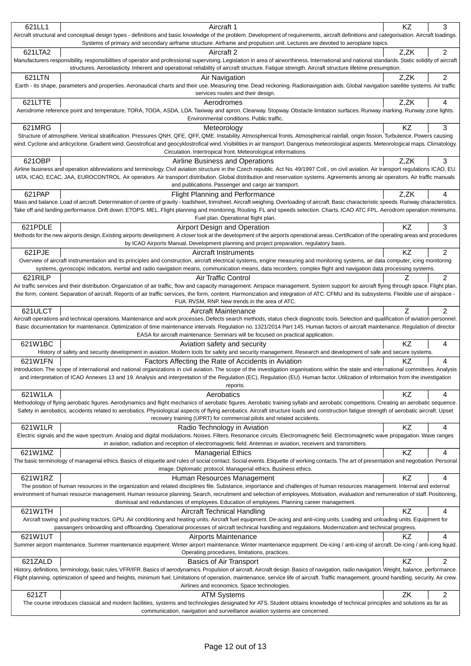| 621LL1                                                                                                                                                                                                                                                                                                                                                                                        | Aircraft 1                                                                                                                                                                                                                                                                                                                                                                              | ΚZ        | 3              |  |  |
|-----------------------------------------------------------------------------------------------------------------------------------------------------------------------------------------------------------------------------------------------------------------------------------------------------------------------------------------------------------------------------------------------|-----------------------------------------------------------------------------------------------------------------------------------------------------------------------------------------------------------------------------------------------------------------------------------------------------------------------------------------------------------------------------------------|-----------|----------------|--|--|
|                                                                                                                                                                                                                                                                                                                                                                                               | Aircraft structural and conceptual design types - definitions and basic knowledge of the problem. Development of requirements, aircraft definitions and categorisation. Aircraft loadings.<br>Systems of primary and secondary airframe structure. Airframe and propulsion unit. Lectures are devoted to aeroplane topics.                                                              |           |                |  |  |
| 621LTA2                                                                                                                                                                                                                                                                                                                                                                                       | Aircraft 2                                                                                                                                                                                                                                                                                                                                                                              | Z,ZK      | $\overline{c}$ |  |  |
|                                                                                                                                                                                                                                                                                                                                                                                               | Manufacturers responsibility, responsibilities of operator and professional supervising. Legislation in area of airworthiness. International and national standards. Static solidity of aircraft<br>structures. Aeroelasticity. Inherent and operational reliability of aircraft structure. Fatigue strength. Aircraft structure lifetime presumption.                                  |           |                |  |  |
| 621LTN                                                                                                                                                                                                                                                                                                                                                                                        | Air Navigation                                                                                                                                                                                                                                                                                                                                                                          | Z,ZK      | 2              |  |  |
|                                                                                                                                                                                                                                                                                                                                                                                               | Earth - its shape, parameters and properties. Aeronautical charts and their use. Measuring time. Dead reckoning. Radionavigation aids. Global navigation satellite systems. Air traffic<br>services routes and their design.                                                                                                                                                            |           |                |  |  |
| 621LTTE                                                                                                                                                                                                                                                                                                                                                                                       | Aerodromes                                                                                                                                                                                                                                                                                                                                                                              | Z,ZK      | 4              |  |  |
|                                                                                                                                                                                                                                                                                                                                                                                               | Aerodrome reference point and temperature, TORA, TODA, ASDA, LDA. Taxiway and apron. Clearway. Stopway. Obstacle limitation surfaces. Runway marking. Runway zone lights.<br>Environmental conditions. Public traffic.                                                                                                                                                                  |           |                |  |  |
| 621MRG                                                                                                                                                                                                                                                                                                                                                                                        | Meteorology<br>Structure of atmosphere. Vertical stratification. Pressures QNH, QFE, QFF, QME. Instability. Atmospherical fronts. Atmospherical rainfall, origin fission. Turbulence. Powers causing                                                                                                                                                                                    | KZ        | 3              |  |  |
|                                                                                                                                                                                                                                                                                                                                                                                               | wind. Cyclone and anticyclone. Gradient wind. Geostrofical and geocyklostrofical wind. Visibilities in air transport. Dangerous meteorological aspects. Meteorological maps. Climatology.<br>Circulation. Intertropical front. Meteorological informations.                                                                                                                             |           |                |  |  |
| 621OBP                                                                                                                                                                                                                                                                                                                                                                                        | Airline Business and Operations                                                                                                                                                                                                                                                                                                                                                         | Z,ZK      | 3              |  |  |
|                                                                                                                                                                                                                                                                                                                                                                                               | Airline business and operation abbreviations and terminology. Civil aviation structure in the Czech republic. Act No. 49/1997 Coll., on civil aviation. Air transport regulations ICAO, EU.                                                                                                                                                                                             |           |                |  |  |
|                                                                                                                                                                                                                                                                                                                                                                                               | IATA, ICAO, ECAC, JAA, EUROCONTROL. Air operators. Air transport distribution. Global distribution and reservation systems. Agreements among air operators. Air traffic manuals<br>and publications. Passenger and cargo air transport.                                                                                                                                                 |           |                |  |  |
| 621PAP                                                                                                                                                                                                                                                                                                                                                                                        | <b>Flight Planning and Performance</b>                                                                                                                                                                                                                                                                                                                                                  | Z,ZK      | 4              |  |  |
|                                                                                                                                                                                                                                                                                                                                                                                               | Mass and balance. Load of aircraft. Determination of centre of gravity - loadsheet, trimsheet. Aircraft weighing. Overloading of aircraft. Basic characteristic speeds. Runway characteristics.<br>Take off and landing performance. Drift down. ETOPS. MEL. Flight planning and monitoring. Routing. FL and speeds selection. Charts. ICAO ATC FPL. Aerodrom operation minimums.       |           |                |  |  |
|                                                                                                                                                                                                                                                                                                                                                                                               | Fuel plan. Operational flight plan.                                                                                                                                                                                                                                                                                                                                                     |           |                |  |  |
| 621PDLE                                                                                                                                                                                                                                                                                                                                                                                       | Airport Design and Operation                                                                                                                                                                                                                                                                                                                                                            | ΚZ        | 3              |  |  |
|                                                                                                                                                                                                                                                                                                                                                                                               | Methods for the new airports design. Existing airports development. A closer look at the development of the airports operational areas. Certification of the operating areas and procedures<br>by ICAO Airports Manual. Development planning and project preparation, regulatory basis.                                                                                                 |           |                |  |  |
| 621PJE                                                                                                                                                                                                                                                                                                                                                                                        | Aircraft Instruments                                                                                                                                                                                                                                                                                                                                                                    | KZ        | 2              |  |  |
|                                                                                                                                                                                                                                                                                                                                                                                               | Overview of aircraft instrumentation and its principles and construction, aircraft electrical systems, engine measuring and monitoring systems, air data computer, icing monitoring<br>systems, gyroscopic indicators, inertial and radio navigation means, communication means, data recorders, complex flight and navigation data processing systems.                                 |           |                |  |  |
| 621RILP                                                                                                                                                                                                                                                                                                                                                                                       | Air Traffic Control                                                                                                                                                                                                                                                                                                                                                                     |           | 2              |  |  |
|                                                                                                                                                                                                                                                                                                                                                                                               | Air traffic services and their distribution. Organization of air traffic, flow and capacity management. Airspace management. System support for aircraft flying through space. Flight plan,<br>the form, content. Separation of aircraft. Reports of air traffic services, the form, content. Harmonization and integration of ATC. CFMU and its subsystems. Flexible use of airspace - |           |                |  |  |
|                                                                                                                                                                                                                                                                                                                                                                                               | FUA. RVSM, RNP. New trends in the area of ATC.                                                                                                                                                                                                                                                                                                                                          |           |                |  |  |
| 621ULCT                                                                                                                                                                                                                                                                                                                                                                                       | Aircraft Maintenance<br>Aircraft operations and technical operations. Maintenance and work processes. Defects search methods, status check diagnostic tools. Selection and qualification of aviation personnel.                                                                                                                                                                         | Z         | $\overline{2}$ |  |  |
|                                                                                                                                                                                                                                                                                                                                                                                               | Basic documentation for maintenance. Optimization of time maintenance intervals. Regulation no. 1321/2014 Part 145. Human factors of aircraft maintenance. Regulation of director                                                                                                                                                                                                       |           |                |  |  |
| 621W1BC                                                                                                                                                                                                                                                                                                                                                                                       | EASA for aircraft maintenance. Seminars will be focused on practical application.<br>Aviation safety and security                                                                                                                                                                                                                                                                       | KZ        | 4              |  |  |
|                                                                                                                                                                                                                                                                                                                                                                                               | History of safety and security development in aviation. Modern tools for safety and security management. Research and development of safe and secure systems.                                                                                                                                                                                                                           |           |                |  |  |
| 621W1FN                                                                                                                                                                                                                                                                                                                                                                                       | Factors Affecting the Rate of Accidents in Aviation                                                                                                                                                                                                                                                                                                                                     | <b>KZ</b> | 4              |  |  |
| Introduction. The scope of international and national organizations in civil aviation. The scope of the investigation organisations within the state and international committees. Analysis<br>and interpretation of ICAO Annexes 13 and 19. Analysis and interpretation of the Regulation (EC), Regulation (EU). Human factor. Utilization of information from the investigation<br>reports. |                                                                                                                                                                                                                                                                                                                                                                                         |           |                |  |  |
| 621W1LA                                                                                                                                                                                                                                                                                                                                                                                       | Aerobatics                                                                                                                                                                                                                                                                                                                                                                              | KZ        | 4              |  |  |
|                                                                                                                                                                                                                                                                                                                                                                                               | Methodology of flying aerobatic figures. Aerodynamics and flight mechanics of aerobatic figures. Aerobatic training syllabi and aerobatic competitions. Creating an aerobatic sequence.                                                                                                                                                                                                 |           |                |  |  |
|                                                                                                                                                                                                                                                                                                                                                                                               | Safety in aerobatics, accidents related to aerobatics. Physiological aspects of flying aerobatics. Aircraft structure loads and construction fatigue strength of aerobatic aircraft. Upset<br>recovery training (UPRT) for commercial pilots and related accidents.                                                                                                                     |           |                |  |  |
| 621W1LR                                                                                                                                                                                                                                                                                                                                                                                       | Radio Technology in Aviation                                                                                                                                                                                                                                                                                                                                                            | KZ        | 4              |  |  |
|                                                                                                                                                                                                                                                                                                                                                                                               | Electric signals and the wave spectrum. Analog and digital modulations. Noises. Filters. Resonance circuits. Electromagnetic field. Electromagnetic wave propagation. Wave ranges<br>in aviation, radiation and reception of electromagnetic field. Antennas in aviation, receivers and transmitters.                                                                                   |           |                |  |  |
| 621W1MZ                                                                                                                                                                                                                                                                                                                                                                                       | <b>Managerial Ethics</b>                                                                                                                                                                                                                                                                                                                                                                | KZ        | 4              |  |  |
|                                                                                                                                                                                                                                                                                                                                                                                               | The basic terminology of managerial ethics. Basics of etiquette and rules of social contact. Social events. Etiquette of working contacts. The art of presentation and negotiation. Personal<br>image. Diplomatic protocol. Managerial ethics. Business ethics.                                                                                                                         |           |                |  |  |
| 621W1RZ                                                                                                                                                                                                                                                                                                                                                                                       | Human Resources Management                                                                                                                                                                                                                                                                                                                                                              | <b>KZ</b> | 4              |  |  |
|                                                                                                                                                                                                                                                                                                                                                                                               | The position of human resources in the organization and related disciplines file. Substance, importance and challenges of human resources management. Internal and external<br>environment of human resource management. Human resource planning. Search, recruitment and selection of employees. Motivation, evaluation and remuneration of staff. Positioning,                        |           |                |  |  |
|                                                                                                                                                                                                                                                                                                                                                                                               | dismissal and redundancies of employees. Education of employees. Planning career management.                                                                                                                                                                                                                                                                                            |           |                |  |  |
| 621W1TH                                                                                                                                                                                                                                                                                                                                                                                       | Aircraft Technical Handling                                                                                                                                                                                                                                                                                                                                                             | KZ        | 4              |  |  |
|                                                                                                                                                                                                                                                                                                                                                                                               | Aircraft towing and pushing tractors. GPU. Air conditioning and heating units. Aircraft fuel equipment. De-acing and anti-icing units. Loading and unloading units. Equipment for<br>passangers onboarding and offboarding. Operational processes of aircraft technical handling and regulations. Modernization and technical progress.                                                 |           |                |  |  |
| 621W1UT                                                                                                                                                                                                                                                                                                                                                                                       | Airports Maintenance                                                                                                                                                                                                                                                                                                                                                                    | ΚZ        | 4              |  |  |
|                                                                                                                                                                                                                                                                                                                                                                                               | Summer airport maintenance. Summer maintenance equipment. Winter airport maintenance. Winter maintenance equipment. De-icing / anti-icing of aircraft. De-icing / anti-icing liquid.                                                                                                                                                                                                    |           |                |  |  |
| 621ZALD                                                                                                                                                                                                                                                                                                                                                                                       | Operating procedures, limitations, practices.<br><b>Basics of Air Transport</b>                                                                                                                                                                                                                                                                                                         | KZ        | $\overline{2}$ |  |  |
|                                                                                                                                                                                                                                                                                                                                                                                               | History, definitions, terminology, basic rules. VFR/IFR. Basics of aerodynamics. Propulsion of aircraft. Aircraft design. Basics of navigation, radio navigation. Weight, balance, performance.                                                                                                                                                                                         |           |                |  |  |
| Flight planning, optimization of speed and heights, minimum fuel. Limitations of operation, maintenance, service life of aircraft. Traffic management, ground handling, security. Air crew.<br>Airlines and economics. Space technologies.                                                                                                                                                    |                                                                                                                                                                                                                                                                                                                                                                                         |           |                |  |  |
| 621ZT                                                                                                                                                                                                                                                                                                                                                                                         | <b>ATM Systems</b>                                                                                                                                                                                                                                                                                                                                                                      | ZK        | 2              |  |  |
|                                                                                                                                                                                                                                                                                                                                                                                               | The course introduces classical and modern facilities, systems and technologies designated for ATS. Student obtains knowledge of technical principles and solutions as far as                                                                                                                                                                                                           |           |                |  |  |
|                                                                                                                                                                                                                                                                                                                                                                                               | communication, navigation and surveillance aviation systems are concerned.                                                                                                                                                                                                                                                                                                              |           |                |  |  |